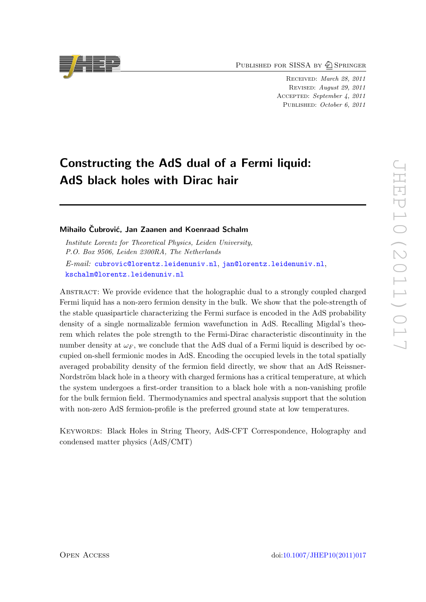PUBLISHED FOR SISSA BY 2 SPRINGER

Received: March 28, 2011 Revised: August 29, 2011 ACCEPTED: September 4, 2011 PUBLISHED: October 6, 2011

# Constructing the AdS dual of a Fermi liquid: AdS black holes with Dirac hair

#### Mihailo Čubrović, Jan Zaanen and Koenraad Schalm

Institute Lorentz for Theoretical Physics, Leiden University, P.O. Box 9506, Leiden 2300RA, The Netherlands E-mail: [cubrovic@lorentz.leidenuniv.nl](mailto:cubrovic@lorentz.leidenuniv.nl), [jan@lorentz.leidenuniv.nl](mailto:jan@lorentz.leidenuniv.nl), [kschalm@lorentz.leidenuniv.nl](mailto:kschalm@lorentz.leidenuniv.nl)

Abstract: We provide evidence that the holographic dual to a strongly coupled charged Fermi liquid has a non-zero fermion density in the bulk. We show that the pole-strength of the stable quasiparticle characterizing the Fermi surface is encoded in the AdS probability density of a single normalizable fermion wavefunction in AdS. Recalling Migdal's theorem which relates the pole strength to the Fermi-Dirac characteristic discontinuity in the number density at  $\omega_F$ , we conclude that the AdS dual of a Fermi liquid is described by occupied on-shell fermionic modes in AdS. Encoding the occupied levels in the total spatially averaged probability density of the fermion field directly, we show that an AdS Reissner-Nordström black hole in a theory with charged fermions has a critical temperature, at which the system undergoes a first-order transition to a black hole with a non-vanishing profile for the bulk fermion field. Thermodynamics and spectral analysis support that the solution with non-zero AdS fermion-profile is the preferred ground state at low temperatures.

Keywords: Black Holes in String Theory, AdS-CFT Correspondence, Holography and condensed matter physics (AdS/CMT)

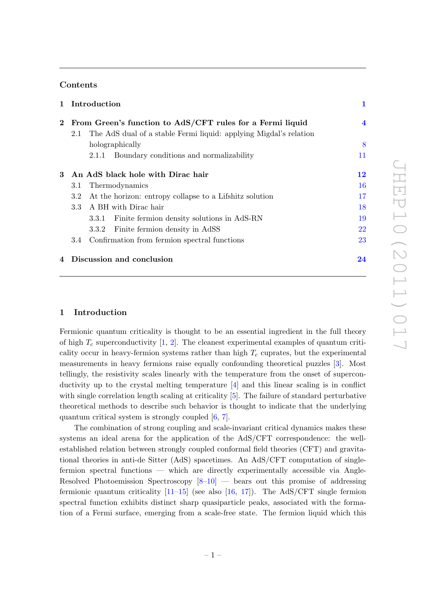## Contents

|          |                                                           | 1 Introduction                                                                       | 1                       |
|----------|-----------------------------------------------------------|--------------------------------------------------------------------------------------|-------------------------|
| $\bf{2}$ | From Green's function to AdS/CFT rules for a Fermi liquid |                                                                                      | $\overline{\mathbf{4}}$ |
|          | 2.1                                                       | The AdS dual of a stable Fermi liquid: applying Migdal's relation<br>holographically | 8                       |
|          |                                                           | Boundary conditions and normalizability<br>2.1.1                                     | 11                      |
| 3        | An AdS black hole with Dirac hair                         |                                                                                      | 12                      |
|          | 3.1                                                       | Thermodynamics                                                                       | <b>16</b>               |
|          | $3.2^{\circ}$                                             | At the horizon: entropy collapse to a Lifshitz solution                              | 17                      |
|          | 3.3                                                       | A BH with Dirac hair                                                                 | 18                      |
|          |                                                           | Finite fermion density solutions in AdS-RN<br>3.3.1                                  | 19                      |
|          |                                                           | 3.3.2 Finite fermion density in AdSS                                                 | 22                      |
|          | 3.4                                                       | Confirmation from fermion spectral functions                                         | 23                      |
|          |                                                           | 4 Discussion and conclusion                                                          | 24                      |

#### <span id="page-1-0"></span>1 Introduction

Fermionic quantum criticality is thought to be an essential ingredient in the full theory of high  $T_c$  superconductivity  $[1, 2]$  $[1, 2]$ . The cleanest experimental examples of quantum criticality occur in heavy-fermion systems rather than high  $T_c$  cuprates, but the experimental measurements in heavy fermions raise equally confounding theoretical puzzles [\[3\]](#page-26-2). Most tellingly, the resistivity scales linearly with the temperature from the onset of superconductivity up to the crystal melting temperature [\[4\]](#page-26-3) and this linear scaling is in conflict with single correlation length scaling at criticality [\[5\]](#page-26-4). The failure of standard perturbative theoretical methods to describe such behavior is thought to indicate that the underlying quantum critical system is strongly coupled [\[6,](#page-26-5) [7\]](#page-26-6).

The combination of strong coupling and scale-invariant critical dynamics makes these systems an ideal arena for the application of the AdS/CFT correspondence: the wellestablished relation between strongly coupled conformal field theories (CFT) and gravitational theories in anti-de Sitter (AdS) spacetimes. An AdS/CFT computation of singlefermion spectral functions — which are directly experimentally accessible via Angle-Resolved Photoemission Spectroscopy  $[8-10]$  — bears out this promise of addressing fermionic quantum criticality  $[11-15]$  (see also  $[16, 17]$  $[16, 17]$ ). The AdS/CFT single fermion spectral function exhibits distinct sharp quasiparticle peaks, associated with the formation of a Fermi surface, emerging from a scale-free state. The fermion liquid which this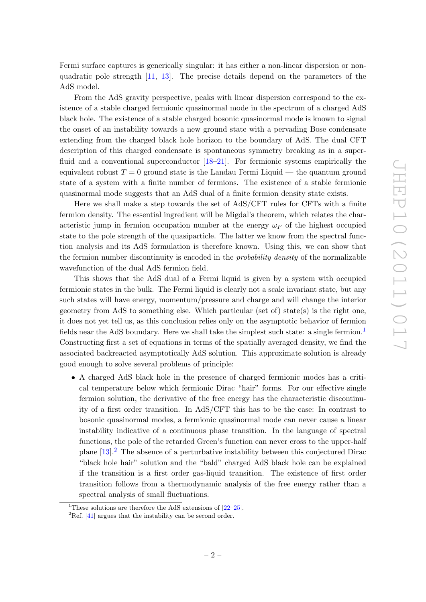Fermi surface captures is generically singular: it has either a non-linear dispersion or nonquadratic pole strength [\[11,](#page-27-2) [13\]](#page-27-6). The precise details depend on the parameters of the AdS model.

From the AdS gravity perspective, peaks with linear dispersion correspond to the existence of a stable charged fermionic quasinormal mode in the spectrum of a charged AdS black hole. The existence of a stable charged bosonic quasinormal mode is known to signal the onset of an instability towards a new ground state with a pervading Bose condensate extending from the charged black hole horizon to the boundary of AdS. The dual CFT description of this charged condensate is spontaneous symmetry breaking as in a superfluid and a conventional superconductor  $[18–21]$  $[18–21]$ . For fermionic systems empirically the equivalent robust  $T = 0$  ground state is the Landau Fermi Liquid — the quantum ground state of a system with a finite number of fermions. The existence of a stable fermionic quasinormal mode suggests that an AdS dual of a finite fermion density state exists.

Here we shall make a step towards the set of AdS/CFT rules for CFTs with a finite fermion density. The essential ingredient will be Migdal's theorem, which relates the characteristic jump in fermion occupation number at the energy  $\omega_F$  of the highest occupied state to the pole strength of the quasiparticle. The latter we know from the spectral function analysis and its AdS formulation is therefore known. Using this, we can show that the fermion number discontinuity is encoded in the probability density of the normalizable wavefunction of the dual AdS fermion field.

This shows that the AdS dual of a Fermi liquid is given by a system with occupied fermionic states in the bulk. The Fermi liquid is clearly not a scale invariant state, but any such states will have energy, momentum/pressure and charge and will change the interior geometry from AdS to something else. Which particular (set of) state(s) is the right one, it does not yet tell us, as this conclusion relies only on the asymptotic behavior of fermion fields near the AdS boundary. Here we shall take the simplest such state: a single fermion.<sup>[1](#page-2-0)</sup> Constructing first a set of equations in terms of the spatially averaged density, we find the associated backreacted asymptotically AdS solution. This approximate solution is already good enough to solve several problems of principle:

• A charged AdS black hole in the presence of charged fermionic modes has a critical temperature below which fermionic Dirac "hair" forms. For our effective single fermion solution, the derivative of the free energy has the characteristic discontinuity of a first order transition. In AdS/CFT this has to be the case: In contrast to bosonic quasinormal modes, a fermionic quasinormal mode can never cause a linear instability indicative of a continuous phase transition. In the language of spectral functions, the pole of the retarded Green's function can never cross to the upper-half plane  $[13]$ <sup>[2](#page-2-1)</sup>. The absence of a perturbative instability between this conjectured Dirac "black hole hair" solution and the "bald" charged AdS black hole can be explained if the transition is a first order gas-liquid transition. The existence of first order transition follows from a thermodynamic analysis of the free energy rather than a spectral analysis of small fluctuations.

<span id="page-2-0"></span><sup>&</sup>lt;sup>1</sup>These solutions are therefore the AdS extensions of  $[22-25]$  $[22-25]$ .

<span id="page-2-1"></span><sup>&</sup>lt;sup>2</sup>Ref. [\[41\]](#page-28-1) argues that the instability can be second order.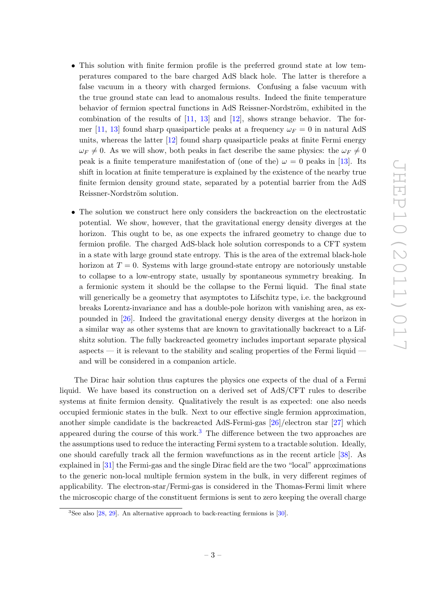- This solution with finite fermion profile is the preferred ground state at low temperatures compared to the bare charged AdS black hole. The latter is therefore a false vacuum in a theory with charged fermions. Confusing a false vacuum with the true ground state can lead to anomalous results. Indeed the finite temperature behavior of fermion spectral functions in AdS Reissner-Nordström, exhibited in the combination of the results of  $[11, 13]$  $[11, 13]$  and  $[12]$ , shows strange behavior. The for-mer [\[11,](#page-27-2) [13\]](#page-27-6) found sharp quasiparticle peaks at a frequency  $\omega_F = 0$  in natural AdS units, whereas the latter [\[12\]](#page-27-10) found sharp quasiparticle peaks at finite Fermi energy  $\omega_F \neq 0$ . As we will show, both peaks in fact describe the same physics: the  $\omega_F \neq 0$ peak is a finite temperature manifestation of (one of the)  $\omega = 0$  peaks in [\[13\]](#page-27-6). Its shift in location at finite temperature is explained by the existence of the nearby true finite fermion density ground state, separated by a potential barrier from the AdS Reissner-Nordström solution.
- The solution we construct here only considers the backreaction on the electrostatic potential. We show, however, that the gravitational energy density diverges at the horizon. This ought to be, as one expects the infrared geometry to change due to fermion profile. The charged AdS-black hole solution corresponds to a CFT system in a state with large ground state entropy. This is the area of the extremal black-hole horizon at  $T = 0$ . Systems with large ground-state entropy are notoriously unstable to collapse to a low-entropy state, usually by spontaneous symmetry breaking. In a fermionic system it should be the collapse to the Fermi liquid. The final state will generically be a geometry that asymptotes to Lifschitz type, i.e. the background breaks Lorentz-invariance and has a double-pole horizon with vanishing area, as expounded in [\[26\]](#page-28-2). Indeed the gravitational energy density diverges at the horizon in a similar way as other systems that are known to gravitationally backreact to a Lifshitz solution. The fully backreacted geometry includes important separate physical aspects — it is relevant to the stability and scaling properties of the Fermi liquid and will be considered in a companion article.

The Dirac hair solution thus captures the physics one expects of the dual of a Fermi liquid. We have based its construction on a derived set of AdS/CFT rules to describe systems at finite fermion density. Qualitatively the result is as expected: one also needs occupied fermionic states in the bulk. Next to our effective single fermion approximation, another simple candidate is the backreacted AdS-Fermi-gas [\[26\]](#page-28-2)/electron star [\[27\]](#page-28-3) which appeared during the course of this work.<sup>[3](#page-3-0)</sup> The difference between the two approaches are the assumptions used to reduce the interacting Fermi system to a tractable solution. Ideally, one should carefully track all the fermion wavefunctions as in the recent article [\[38\]](#page-28-4). As explained in [\[31\]](#page-28-5) the Fermi-gas and the single Dirac field are the two "local" approximations to the generic non-local multiple fermion system in the bulk, in very different regimes of applicability. The electron-star/Fermi-gas is considered in the Thomas-Fermi limit where the microscopic charge of the constituent fermions is sent to zero keeping the overall charge

<span id="page-3-0"></span><sup>&</sup>lt;sup>3</sup>See also [\[28,](#page-28-6) [29\]](#page-28-7). An alternative approach to back-reacting fermions is [\[30\]](#page-28-8).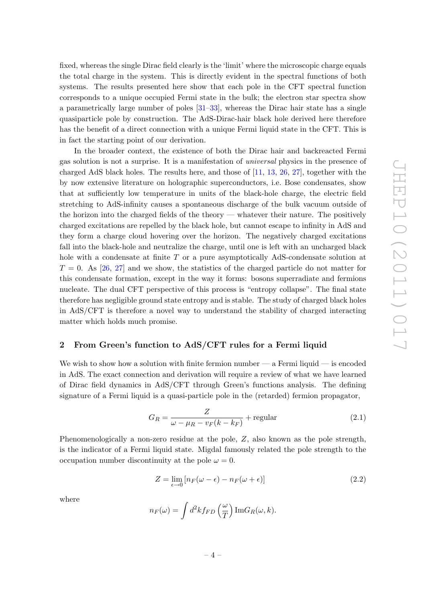fixed, whereas the single Dirac field clearly is the 'limit' where the microscopic charge equals the total charge in the system. This is directly evident in the spectral functions of both systems. The results presented here show that each pole in the CFT spectral function corresponds to a unique occupied Fermi state in the bulk; the electron star spectra show a parametrically large number of poles [\[31](#page-28-5)[–33\]](#page-28-9), whereas the Dirac hair state has a single quasiparticle pole by construction. The AdS-Dirac-hair black hole derived here therefore has the benefit of a direct connection with a unique Fermi liquid state in the CFT. This is in fact the starting point of our derivation.

In the broader context, the existence of both the Dirac hair and backreacted Fermi gas solution is not a surprise. It is a manifestation of universal physics in the presence of charged AdS black holes. The results here, and those of [\[11,](#page-27-2) [13,](#page-27-6) [26,](#page-28-2) [27\]](#page-28-3), together with the by now extensive literature on holographic superconductors, i.e. Bose condensates, show that at sufficiently low temperature in units of the black-hole charge, the electric field stretching to AdS-infinity causes a spontaneous discharge of the bulk vacuum outside of the horizon into the charged fields of the theory — whatever their nature. The positively charged excitations are repelled by the black hole, but cannot escape to infinity in AdS and they form a charge cloud hovering over the horizon. The negatively charged excitations fall into the black-hole and neutralize the charge, until one is left with an uncharged black hole with a condensate at finite T or a pure asymptotically AdS-condensate solution at  $T = 0$ . As [\[26,](#page-28-2) [27\]](#page-28-3) and we show, the statistics of the charged particle do not matter for this condensate formation, except in the way it forms: bosons superradiate and fermions nucleate. The dual CFT perspective of this process is "entropy collapse". The final state therefore has negligible ground state entropy and is stable. The study of charged black holes in AdS/CFT is therefore a novel way to understand the stability of charged interacting matter which holds much promise.

#### <span id="page-4-0"></span>2 From Green's function to AdS/CFT rules for a Fermi liquid

We wish to show how a solution with finite fermion number  $-$  a Fermi liquid  $-$  is encoded in AdS. The exact connection and derivation will require a review of what we have learned of Dirac field dynamics in AdS/CFT through Green's functions analysis. The defining signature of a Fermi liquid is a quasi-particle pole in the (retarded) fermion propagator,

<span id="page-4-1"></span>
$$
G_R = \frac{Z}{\omega - \mu_R - v_F(k - k_F)} + \text{regular} \tag{2.1}
$$

Phenomenologically a non-zero residue at the pole, Z, also known as the pole strength, is the indicator of a Fermi liquid state. Migdal famously related the pole strength to the occupation number discontinuity at the pole  $\omega = 0$ .

$$
Z = \lim_{\epsilon \to 0} \left[ n_F(\omega - \epsilon) - n_F(\omega + \epsilon) \right]
$$
 (2.2)

where

$$
n_F(\omega) = \int d^2k f_{FD}\left(\frac{\omega}{T}\right) \text{Im} G_R(\omega, k).
$$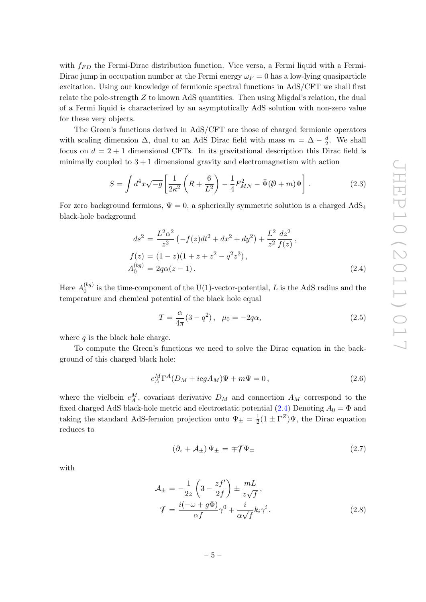with  $f_{FD}$  the Fermi-Dirac distribution function. Vice versa, a Fermi liquid with a Fermi-Dirac jump in occupation number at the Fermi energy  $\omega_F = 0$  has a low-lying quasiparticle excitation. Using our knowledge of fermionic spectral functions in AdS/CFT we shall first relate the pole-strength  $Z$  to known AdS quantities. Then using Migdal's relation, the dual of a Fermi liquid is characterized by an asymptotically AdS solution with non-zero value for these very objects.

The Green's functions derived in AdS/CFT are those of charged fermionic operators with scaling dimension  $\Delta$ , dual to an AdS Dirac field with mass  $m = \Delta - \frac{d}{2}$  $\frac{d}{2}$ . We shall focus on  $d = 2 + 1$  dimensional CFTs. In its gravitational description this Dirac field is minimally coupled to  $3 + 1$  dimensional gravity and electromagnetism with action

<span id="page-5-2"></span>
$$
S = \int d^4x \sqrt{-g} \left[ \frac{1}{2\kappa^2} \left( R + \frac{6}{L^2} \right) - \frac{1}{4} F_{MN}^2 - \bar{\Psi} (\not\!\!D + m) \Psi \right].
$$
 (2.3)

For zero background fermions,  $\Psi = 0$ , a spherically symmetric solution is a charged  $AdS_4$ black-hole background

<span id="page-5-0"></span>
$$
ds^{2} = \frac{L^{2} \alpha^{2}}{z^{2}} \left( -f(z)dt^{2} + dx^{2} + dy^{2} \right) + \frac{L^{2}}{z^{2}} \frac{dz^{2}}{f(z)},
$$
  
\n
$$
f(z) = (1 - z)(1 + z + z^{2} - q^{2}z^{3}),
$$
  
\n
$$
A_{0}^{(bg)} = 2q\alpha(z - 1).
$$
\n(2.4)

Here  $A_0^{(bg)}$  $_{0}^{\text{(og)}}$  is the time-component of the U(1)-vector-potential, L is the AdS radius and the temperature and chemical potential of the black hole equal

$$
T = \frac{\alpha}{4\pi} (3 - q^2), \ \mu_0 = -2q\alpha,
$$
\n(2.5)

where  $q$  is the black hole charge.

To compute the Green's functions we need to solve the Dirac equation in the background of this charged black hole:

$$
e_A^M \Gamma^A (D_M + i e g A_M) \Psi + m \Psi = 0, \qquad (2.6)
$$

where the vielbein  $e_A^M$ , covariant derivative  $D_M$  and connection  $A_M$  correspond to the fixed charged AdS black-hole metric and electrostatic potential  $(2.4)$  Denoting  $A_0 = \Phi$  and taking the standard AdS-fermion projection onto  $\Psi_{\pm} = \frac{1}{2}$  $\frac{1}{2}(1 \pm \Gamma^Z)\Psi$ , the Dirac equation reduces to

<span id="page-5-1"></span>
$$
\left(\partial_z + \mathcal{A}_\pm\right)\Psi_\pm = \mp \mathcal{T}\Psi_\mp \tag{2.7}
$$

with

$$
\mathcal{A}_{\pm} = -\frac{1}{2z} \left( 3 - \frac{zf'}{2f} \right) \pm \frac{mL}{z\sqrt{f}},
$$
  

$$
\mathcal{T} = \frac{i(-\omega + g\Phi)}{\alpha f} \gamma^0 + \frac{i}{\alpha \sqrt{f}} k_i \gamma^i.
$$
 (2.8)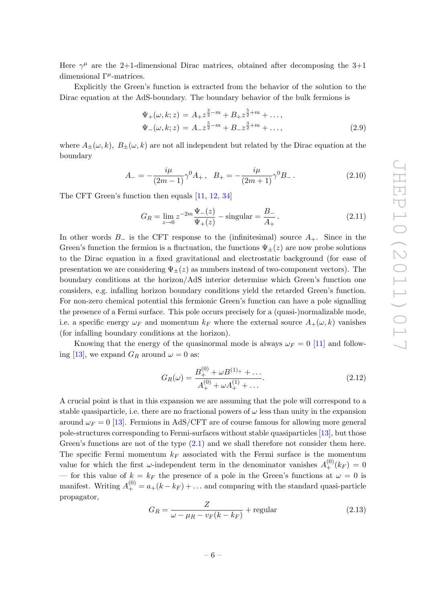Here  $\gamma^{\mu}$  are the 2+1-dimensional Dirac matrices, obtained after decomposing the 3+1 dimensional  $\Gamma^{\mu}$ -matrices.

Explicitly the Green's function is extracted from the behavior of the solution to the Dirac equation at the AdS-boundary. The boundary behavior of the bulk fermions is

$$
\Psi_{+}(\omega, k; z) = A_{+}z^{\frac{3}{2}-m} + B_{+}z^{\frac{5}{2}+m} + ..., \n\Psi_{-}(\omega, k; z) = A_{-}z^{\frac{5}{2}-m} + B_{-}z^{\frac{3}{2}+m} + ...,
$$
\n(2.9)

where  $A_{\pm}(\omega, k)$ ,  $B_{\pm}(\omega, k)$  are not all independent but related by the Dirac equation at the boundary

<span id="page-6-0"></span>
$$
A_{-} = -\frac{i\mu}{(2m-1)}\gamma^{0}A_{+} , B_{+} = -\frac{i\mu}{(2m+1)}\gamma^{0}B_{-} .
$$
 (2.10)

The CFT Green's function then equals [\[11,](#page-27-2) [12,](#page-27-10) [34\]](#page-28-10)

$$
G_R = \lim_{z \to 0} z^{-2m} \frac{\Psi_-(z)}{\Psi_+(z)} - \text{singular} = \frac{B_-}{A_+}.
$$
 (2.11)

In other words  $B_-\$  is the CFT response to the (infinitesimal) source  $A_+$ . Since in the Green's function the fermion is a fluctuation, the functions  $\Psi_+(z)$  are now probe solutions to the Dirac equation in a fixed gravitational and electrostatic background (for ease of presentation we are considering  $\Psi_{\pm}(z)$  as numbers instead of two-component vectors). The boundary conditions at the horizon/AdS interior determine which Green's function one considers, e.g. infalling horizon boundary conditions yield the retarded Green's function. For non-zero chemical potential this fermionic Green's function can have a pole signalling the presence of a Fermi surface. This pole occurs precisely for a (quasi-)normalizable mode, i.e. a specific energy  $\omega_F$  and momentum  $k_F$  where the external source  $A_+(\omega, k)$  vanishes (for infalling boundary conditions at the horizon).

Knowing that the energy of the quasinormal mode is always  $\omega_F = 0$  [\[11\]](#page-27-2) and follow-ing [\[13\]](#page-27-6), we expand  $G_R$  around  $\omega = 0$  as:

<span id="page-6-1"></span>
$$
G_R(\omega) = \frac{B_+^{(0)} + \omega B^{(1)+} + \dots}{A_+^{(0)} + \omega A_+^{(1)} + \dots}.
$$
\n(2.12)

A crucial point is that in this expansion we are assuming that the pole will correspond to a stable quasiparticle, i.e. there are no fractional powers of  $\omega$  less than unity in the expansion around  $\omega_F = 0$  [\[13\]](#page-27-6). Fermions in AdS/CFT are of course famous for allowing more general pole-structures corresponding to Fermi-surfaces without stable quasiparticles [\[13\]](#page-27-6), but those Green's functions are not of the type [\(2.1\)](#page-4-1) and we shall therefore not consider them here. The specific Fermi momentum  $k_F$  associated with the Fermi surface is the momentum value for which the first  $\omega$ -independent term in the denominator vanishes  $A_{+}^{(0)}(k_F) = 0$ — for this value of  $k = k_F$  the presence of a pole in the Green's functions at  $\omega = 0$  is manifest. Writing  $A^{(0)}_+ = a_+(k - k_F) + \dots$  and comparing with the standard quasi-particle propagator,

$$
G_R = \frac{Z}{\omega - \mu_R - v_F(k - k_F)} + \text{regular} \tag{2.13}
$$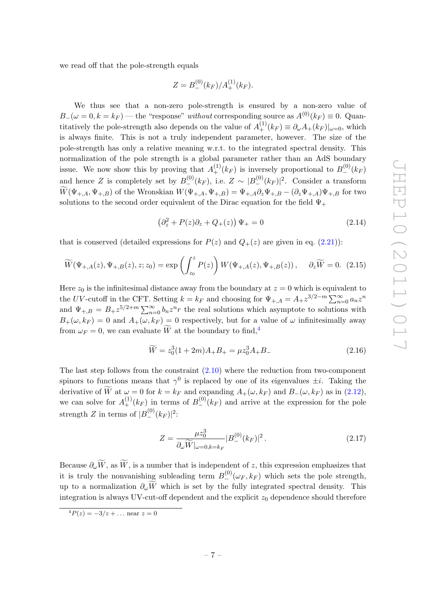we read off that the pole-strength equals

$$
Z = B_{-}^{(0)}(k_F)/A_{+}^{(1)}(k_F).
$$

We thus see that a non-zero pole-strength is ensured by a non-zero value of  $B_-(\omega = 0, k = k_F)$  — the "response" without corresponding source as  $A^{(0)}(k_F) \equiv 0$ . Quantitatively the pole-strength also depends on the value of  $A^{(1)}_+(k_F) \equiv \partial_\omega A_+(k_F)|_{\omega=0}$ , which is always finite. This is not a truly independent parameter, however. The size of the pole-strength has only a relative meaning w.r.t. to the integrated spectral density. This normalization of the pole strength is a global parameter rather than an AdS boundary issue. We now show this by proving that  $A^{(1)}_+(k_F)$  is inversely proportional to  $B^{(0)}_-(k_F)$ and hence Z is completely set by  $B_{-}^{(0)}(k_F)$ , i.e.  $Z \sim |B_{-}^{(0)}(k_F)|^2$ . Consider a transform  $\widetilde{W}(\Psi_{+,A}, \Psi_{+,B})$  of the Wronskian  $W(\Psi_{+,A}, \Psi_{+,B}) = \Psi_{+,A}\partial_z\Psi_{+,B} - (\partial_z\Psi_{+,A})\Psi_{+,B}$  for two solutions to the second order equivalent of the Dirac equation for the field  $\Psi_+$ 

$$
\left(\partial_z^2 + P(z)\partial_z + Q_+(z)\right)\Psi_+ = 0\tag{2.14}
$$

that is conserved (detailed expressions for  $P(z)$  and  $Q_+(z)$  are given in eq. [\(2.21\)](#page-9-0)):

$$
\widetilde{W}(\Psi_{+,A}(z), \Psi_{+,B}(z), z; z_0) = \exp\left(\int_{z_0}^z P(z)\right) W(\Psi_{+,A}(z), \Psi_{+,B}(z)), \quad \partial_z \widetilde{W} = 0. \tag{2.15}
$$

Here  $z_0$  is the infinitesimal distance away from the boundary at  $z = 0$  which is equivalent to the UV-cutoff in the CFT. Setting  $k = k_F$  and choosing for  $\Psi_{+,A} = A_+ z^{3/2-m} \sum_{n=0}^{\infty} a_n z^n$ and  $\Psi_{+,B} = B_{+} z^{5/2+m} \sum_{n=0}^{\infty} b_n z^n r$  the real solutions which asymptote to solutions with  $B_+(\omega, k_F) = 0$  and  $A_+(\omega, k_F) = 0$  respectively, but for a value of  $\omega$  infinitesimally away from  $\omega_F = 0$ , we can evaluate  $\widetilde{W}$  at the boundary to find,<sup>[4](#page-7-0)</sup>

$$
\widetilde{W} = z_0^3 (1 + 2m) A_+ B_+ = \mu z_0^3 A_+ B_- \tag{2.16}
$$

The last step follows from the constraint [\(2.10\)](#page-6-0) where the reduction from two-component spinors to functions means that  $\gamma^0$  is replaced by one of its eigenvalues  $\pm i$ . Taking the derivative of W at  $\omega = 0$  for  $k = k_F$  and expanding  $A_+(\omega, k_F)$  and  $B_-(\omega, k_F)$  as in [\(2.12\)](#page-6-1), we can solve for  $A^{(1)}_+(k_F)$  in terms of  $B^{(0)}_-(k_F)$  and arrive at the expression for the pole strength  $Z$  in terms of  $|B_{-}^{(0)}(k_F)|^2$ :

$$
Z = \frac{\mu z_0^3}{\partial_\omega \widetilde{W}|_{\omega = 0, k = k_F}} |B_{-}^{(0)}(k_F)|^2.
$$
 (2.17)

Because  $\partial_{\omega}\widetilde{W}$ , as  $\widetilde{W}$ , is a number that is independent of z, this expression emphasizes that it is truly the nonvanishing subleading term  $B_{-}^{(0)}(\omega_F, k_F)$  which sets the pole strength, up to a normalization  $\partial_{\omega}\widetilde{W}$  which is set by the fully integrated spectral density. This integration is always UV-cut-off dependent and the explicit  $z_0$  dependence should therefore

<span id="page-7-0"></span> $\frac{4P(z) = -3/z + \dots \text{ near } z = 0}{}$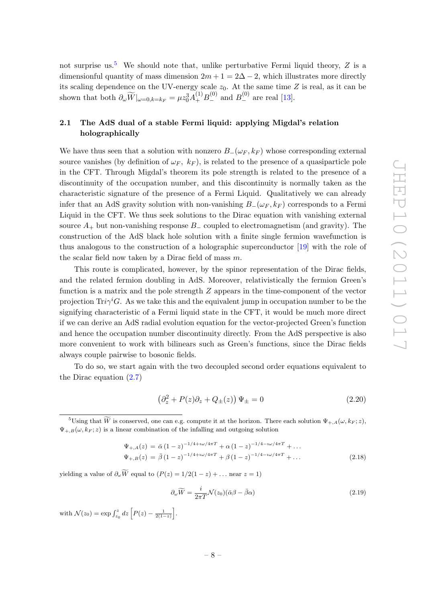not surprise us.<sup>[5](#page-8-1)</sup> We should note that, unlike perturbative Fermi liquid theory,  $Z$  is a dimensionful quantity of mass dimension  $2m + 1 = 2\Delta - 2$ , which illustrates more directly its scaling dependence on the UV-energy scale  $z_0$ . At the same time Z is real, as it can be shown that both  $\partial_{\omega} \widetilde{W}|_{\omega=0, k=k_F} = \mu z_0^3 A_+^{(1)} B_-^{(0)}$  and  $B_-^{(0)}$  are real [\[13\]](#page-27-6).

## <span id="page-8-0"></span>2.1 The AdS dual of a stable Fermi liquid: applying Migdal's relation holographically

We have thus seen that a solution with nonzero  $B_-(\omega_F, k_F)$  whose corresponding external source vanishes (by definition of  $\omega_F$ ,  $k_F$ ), is related to the presence of a quasiparticle pole in the CFT. Through Migdal's theorem its pole strength is related to the presence of a discontinuity of the occupation number, and this discontinuity is normally taken as the characteristic signature of the presence of a Fermi Liquid. Qualitatively we can already infer that an AdS gravity solution with non-vanishing  $B_-(\omega_F, k_F)$  corresponds to a Fermi Liquid in the CFT. We thus seek solutions to the Dirac equation with vanishing external source  $A_+$  but non-vanishing response  $B_-\$ coupled to electromagnetism (and gravity). The construction of the AdS black hole solution with a finite single fermion wavefunction is thus analogous to the construction of a holographic superconductor [\[19\]](#page-27-11) with the role of the scalar field now taken by a Dirac field of mass  $m$ .

This route is complicated, however, by the spinor representation of the Dirac fields, and the related fermion doubling in AdS. Moreover, relativistically the fermion Green's function is a matrix and the pole strength  $Z$  appears in the time-component of the vector projection  $\text{Tr} \gamma^i G$ . As we take this and the equivalent jump in occupation number to be the signifying characteristic of a Fermi liquid state in the CFT, it would be much more direct if we can derive an AdS radial evolution equation for the vector-projected Green's function and hence the occupation number discontinuity directly. From the AdS perspective is also more convenient to work with bilinears such as Green's functions, since the Dirac fields always couple pairwise to bosonic fields.

To do so, we start again with the two decoupled second order equations equivalent to the Dirac equation  $(2.7)$ 

$$
\left(\partial_z^2 + P(z)\partial_z + Q_{\pm}(z)\right)\Psi_{\pm} = 0\tag{2.20}
$$

$$
\Psi_{+,A}(z) = \bar{\alpha} (1-z)^{-1/4 + i\omega/4\pi} + \alpha (1-z)^{-1/4 - i\omega/4\pi} + \dots
$$
  
\n
$$
\Psi_{+,B}(z) = \bar{\beta} (1-z)^{-1/4 + i\omega/4\pi} + \beta (1-z)^{-1/4 - i\omega/4\pi} + \dots
$$
\n(2.18)

yielding a value of  $\partial_{\omega} \widetilde{W}$  equal to  $(P(z) = 1/2(1-z) + ...$  near  $z = 1)$ 

$$
\partial_{\omega}\widetilde{W} = \frac{i}{2\pi T}\mathcal{N}(z_0)(\bar{\alpha}\beta - \bar{\beta}\alpha) \tag{2.19}
$$

with  $\mathcal{N}(z_0) = \exp \int_{z_0}^{z} dz \left[ P(z) - \frac{1}{2(1-z)} \right]$ .

<span id="page-8-1"></span><sup>&</sup>lt;sup>5</sup>Using that  $\widetilde{W}$  is conserved, one can e.g. compute it at the horizon. There each solution  $\Psi_{+,A}(\omega, k_F; z)$ ,  $\Psi_{+,B}(\omega, k_F; z)$  is a linear combination of the infalling and outgoing solution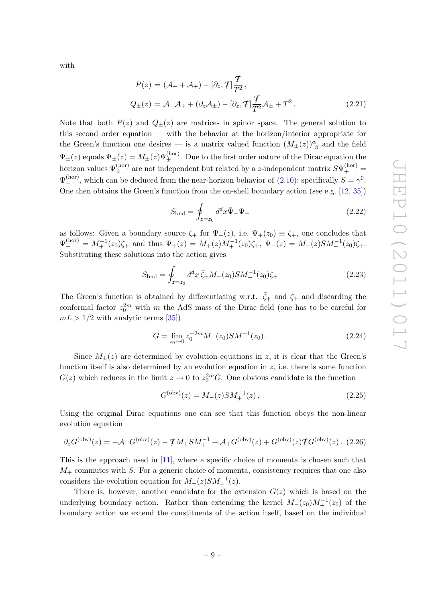with

<span id="page-9-0"></span>
$$
P(z) = (\mathcal{A}_{-} + \mathcal{A}_{+}) - [\partial_{z}, \mathcal{T}] \frac{\mathcal{T}}{T^{2}},
$$
  
\n
$$
Q_{\pm}(z) = \mathcal{A}_{-} \mathcal{A}_{+} + (\partial_{z} \mathcal{A}_{\pm}) - [\partial_{z}, \mathcal{T}] \frac{\mathcal{T}}{T^{2}} \mathcal{A}_{\pm} + T^{2}.
$$
\n(2.21)

Note that both  $P(z)$  and  $Q_{\pm}(z)$  are matrices in spinor space. The general solution to this second order equation — with the behavior at the horizon/interior appropriate for the Green's function one desires — is a matrix valued function  $(M_{\pm}(z))^{\alpha}_{\beta}$  and the field  $\Psi_{\pm}(z)$  equals  $\Psi_{\pm}(z) = M_{\pm}(z)\Psi_{\pm}^{\text{(hor)}}$ . Due to the first order nature of the Dirac equation the horizon values  $\Psi_{\pm}^{(\rm hor)}$  are not independent but related by a *z*-independent matrix  $S\Psi_{+}^{(\rm hor)}$  =  $\Psi_{-}^{\text{(hor)}},$  which can be deduced from the near-horizon behavior of [\(2.10\)](#page-6-0); specifically  $S = \gamma^{0}.$ One then obtains the Green's function from the on-shell boundary action (see e.g. [\[12,](#page-27-10) [35\]](#page-28-11))

$$
S_{\text{bnd}} = \oint_{z=z_0} d^d x \bar{\Psi}_+ \Psi_- \tag{2.22}
$$

as follows: Given a boundary source  $\zeta_+$  for  $\Psi_+(z)$ , i.e.  $\Psi_+(z_0) \equiv \zeta_+$ , one concludes that  $\Psi_+^{\text{(hor)}} = M_+^{-1}(z_0)\zeta_+$  and thus  $\Psi_+(z) = M_+(z)M_+^{-1}(z_0)\zeta_+$ ,  $\Psi_-(z) = M_-(z)SM_+^{-1}(z_0)\zeta_+$ . Substituting these solutions into the action gives

$$
S_{\text{bnd}} = \oint_{z=z_0} d^d x \,\bar{\zeta}_+ M_-(z_0) S M_+^{-1}(z_0) \zeta_+ \tag{2.23}
$$

The Green's function is obtained by differentiating w.r.t.  $\bar{\zeta}_+$  and  $\zeta_+$  and discarding the conformal factor  $z_0^{2m}$  with m the AdS mass of the Dirac field (one has to be careful for  $mL > 1/2$  with analytic terms [\[35\]](#page-28-11))

$$
G = \lim_{z_0 \to 0} z_0^{-2m} M_-(z_0) S M_+^{-1}(z_0).
$$
 (2.24)

Since  $M_{+}(z)$  are determined by evolution equations in z, it is clear that the Green's function itself is also determined by an evolution equation in  $z$ , i.e. there is some function  $G(z)$  which reduces in the limit  $z \to 0$  to  $z_0^{2m}$ . One obvious candidate is the function

$$
G^{(\text{obv})}(z) = M_{-}(z) S M_{+}^{-1}(z) . \qquad (2.25)
$$

Using the original Dirac equations one can see that this function obeys the non-linear evolution equation

$$
\partial_z G^{(\text{obv})}(z) = -\mathcal{A}_- G^{(\text{obv})}(z) - \mathcal{T} M_+ S M_+^{-1} + \mathcal{A}_+ G^{(\text{obv})}(z) + G^{(\text{obv})}(z) \mathcal{T} G^{(\text{obv})}(z) . \tag{2.26}
$$

This is the approach used in  $[11]$ , where a specific choice of momenta is chosen such that  $M_{+}$  commutes with S. For a generic choice of momenta, consistency requires that one also considers the evolution equation for  $M_+(z)SM_+^{-1}(z)$ .

There is, however, another candidate for the extension  $G(z)$  which is based on the underlying boundary action. Rather than extending the kernel  $M_-(z_0)M_+^{-1}(z_0)$  of the boundary action we extend the constituents of the action itself, based on the individual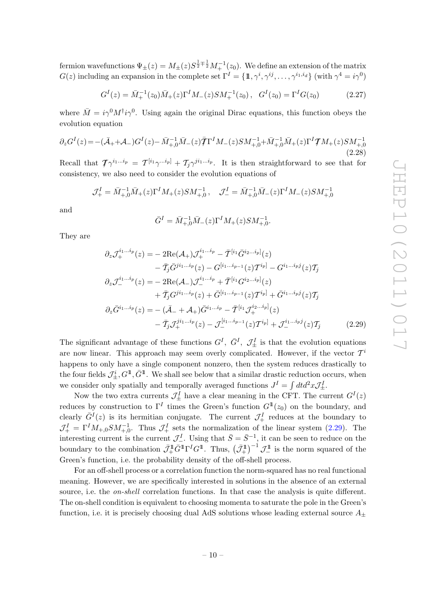fermion wavefunctions  $\Psi_{\pm}(z)=M_{\pm}(z)S^{\frac{1}{2}\mp\frac{1}{2}}M_{+}^{-1}(z_0).$  We define an extension of the matrix  $G(z)$  including an expansion in the complete set  $\Gamma^I = \{\mathbb{1}, \gamma^i, \gamma^{ij}, \dots, \gamma^{i_1, i_d}\}$  (with  $\gamma^4 = i\gamma^0$ )

$$
G^{I}(z) = \bar{M}_{+}^{-1}(z_{0})\bar{M}_{+}(z)\Gamma^{I}M_{-}(z)SM_{+}^{-1}(z_{0}), \quad G^{I}(z_{0}) = \Gamma^{I}G(z_{0})
$$
\n(2.27)

where  $\bar{M} = i\gamma^0 M^{\dagger} i\gamma^0$ . Using again the original Dirac equations, this function obeys the evolution equation

$$
\partial_z G^I(z) = -(\bar{\mathcal{A}}_+ + \mathcal{A}_-) G^I(z) - \bar{M}_{+,0}^{-1} \bar{M}_-(z) \bar{\mathcal{T}} \Gamma^I M_-(z) S M_{+,0}^{-1} + \bar{M}_{+,0}^{-1} \bar{M}_+(z) \Gamma^I \mathcal{T} M_+(z) S M_{+,0}^{-1}
$$
\n(2.28)

Recall that  $\mathcal{T}\gamma^{i_1...i_p} = \mathcal{T}^{[i_1}\gamma^{...i_p]} + \mathcal{T}_j\gamma^{j i_1...i_p}$ . It is then straightforward to see that for consistency, we also need to consider the evolution equations of

$$
\mathcal{J}^I_+ = \bar{M}^{-1}_{+,0} \bar{M}_+(z) \Gamma^I M_+(z) S M^{-1}_{+,0} \,, \quad \mathcal{J}^I_- = \bar{M}^{-1}_{+,0} \bar{M}_-(z) \Gamma^I M_-(z) S M^{-1}_{+,0} \,,
$$

and

<span id="page-10-0"></span>
$$
\bar{G}^I = \bar{M}_{+,0}^{-1} \bar{M}_{-}(z) \Gamma^I M_{+}(z) S M_{+,0}^{-1}.
$$

They are

$$
\partial_z \mathcal{J}_+^{i_1...i_p}(z) = -2\text{Re}(\mathcal{A}_+) \mathcal{J}_+^{i_1...i_p} - \bar{\mathcal{T}}^{[i_1} \bar{G}^{i_2...i_p]}(z) \n- \bar{\mathcal{T}}_j \bar{G}^{ji_1...i_p}(z) - G^{[i_1...i_{p-1}}(z) \mathcal{T}^{i_p]} - G^{i_1...i_p j}(z) \mathcal{T}_j \n\partial_z \mathcal{J}_-^{i_1...i_p}(z) = -2\text{Re}(\mathcal{A}_-) \mathcal{J}_-^{i_1...i_p} + \bar{\mathcal{T}}^{[i_1} G^{i_2...i_p]}(z) \n+ \bar{\mathcal{T}}_j G^{ji_1...i_p}(z) + \bar{G}^{[i_1...i_{p-1}}(z) \mathcal{T}^{i_p]} + \bar{G}^{i_1...i_p j}(z) \mathcal{T}_j \n\partial_z \bar{G}^{i_1...i_p}(z) = -(\bar{\mathcal{A}}_- + \mathcal{A}_+) \bar{G}^{i_1...i_p} - \bar{\mathcal{T}}^{[i_1} \mathcal{J}_+^{i_2...i_p]}(z) \n- \bar{\mathcal{T}}_j \mathcal{J}_+^{ji_1...i_p}(z) - \mathcal{J}_-^{[i_1...i_{p-1}}(z) \mathcal{T}^{i_p]} + \mathcal{J}_-^{i_1...i_p j}(z) \mathcal{T}_j
$$
\n(2.29)

The significant advantage of these functions  $G^I$ ,  $\bar{G}^I$ ,  $\mathcal{J}^I_{\pm}$  is that the evolution equations are now linear. This approach may seem overly complicated. However, if the vector  $\mathcal{T}^i$ happens to only have a single component nonzero, then the system reduces drastically to the four fields  $\mathcal{J}^i_\pm, G^{\mathbb{1}}, \bar{G}^{\mathbb{1}}$ . We shall see below that a similar drastic reduction occurs, when we consider only spatially and temporally averaged functions  $J^I = \int dt d^2x \mathcal{J}^I_{\pm}$ .

Now the two extra currents  $\mathcal{J}^I_{\pm}$  have a clear meaning in the CFT. The current  $G^I(z)$ reduces by construction to  $\Gamma^I$  times the Green's function  $G^{\mathbb{1}}(z_0)$  on the boundary, and clearly  $\bar{G}^{I}(z)$  is its hermitian conjugate. The current  $\mathcal{J}^{I}_{+}$  reduces at the boundary to  $\mathcal{J}_{+}^{I} = \Gamma^{I} M_{+,0} S M_{+,0}^{-1}$ . Thus  $\mathcal{J}_{+}^{I}$  sets the normalization of the linear system [\(2.29\)](#page-10-0). The interesting current is the current  $\mathcal{J}^I_-$ . Using that  $\bar{S} = \bar{S}^{-1}$ , it can be seen to reduce on the boundary to the combination  $\bar{\mathcal{J}}_{+}^{\mathbb{1}} \bar{G}^{\mathbb{1}} \Gamma^{I} G^{\mathbb{1}}$ . Thus,  $(\bar{\mathcal{J}}_{+}^{\mathbb{1}})^{-1} \mathcal{J}_{-}^{\mathbb{1}}$  is the norm squared of the Green's function, i.e. the probability density of the off-shell process.

For an off-shell process or a correlation function the norm-squared has no real functional meaning. However, we are specifically interested in solutions in the absence of an external source, i.e. the *on-shell* correlation functions. In that case the analysis is quite different. The on-shell condition is equivalent to choosing momenta to saturate the pole in the Green's function, i.e. it is precisely choosing dual AdS solutions whose leading external source  $A_{\pm}$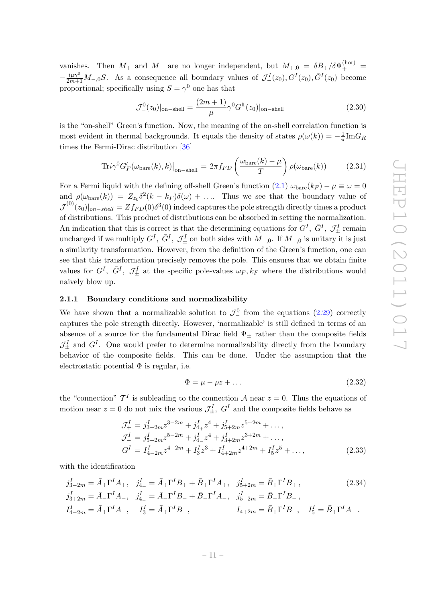vanishes. Then  $M_+$  and  $M_-$  are no longer independent, but  $M_{+,0} = \delta B_+ / \delta \Psi_+^{\text{(hor)}}$ −  $\frac{i\mu\gamma^0}{2m+1}M_{-,0}S$ . As a consequence all boundary values of  $\mathcal{J}^I_-(z_0), G^I(z_0), \bar{G}^I(z_0)$  become proportional; specifically using  $S = \gamma^0$  one has that

$$
\mathcal{J}_{-}^{0}(z_{0})|_{\text{on-shell}} = \frac{(2m+1)}{\mu} \gamma^{0} G^{\mathbb{I}}(z_{0})|_{\text{on-shell}} \qquad (2.30)
$$

is the "on-shell" Green's function. Now, the meaning of the on-shell correlation function is most evident in thermal backgrounds. It equals the density of states  $\rho(\omega(k)) = -\frac{1}{\pi}$  $\frac{1}{\pi} {\rm Im} G_R$ times the Fermi-Dirac distribution [\[36\]](#page-28-12)

$$
\text{Tri}\gamma^{0}G_{F}^{t}(\omega_{\text{bare}}(k),k)\big|_{\text{on-shell}} = 2\pi f_{FD}\left(\frac{\omega_{\text{bare}}(k)-\mu}{T}\right)\rho(\omega_{\text{bare}}(k))\tag{2.31}
$$

For a Fermi liquid with the defining off-shell Green's function [\(2.1\)](#page-4-1)  $\omega_{\text{bare}}(k_F) - \mu \equiv \omega = 0$ and  $\rho(\omega_{bare}(k)) = Z_{z_0}\delta^2(k-k_F)\delta(\omega) + \ldots$  Thus we see that the boundary value of  $\mathcal{J}^{(0)}_-(z_0)|_{on-shell} = Z f_{FD}(0) \delta^3(0) \text{ indeed captures the pole strength directly times a product}$ of distributions. This product of distributions can be absorbed in setting the normalization. An indication that this is correct is that the determining equations for  $G^I$ ,  $\bar{G}^I$ ,  $\mathcal{J}^I_{\pm}$  remain unchanged if we multiply  $G^I$ ,  $\bar{G}^I$ ,  $\mathcal{J}^I_{\pm}$  on both sides with  $M_{+,0}$ . If  $M_{+,0}$  is unitary it is just a similarity transformation. However, from the definition of the Green's function, one can see that this transformation precisely removes the pole. This ensures that we obtain finite values for  $G^I$ ,  $\bar{G}^I$ ,  $\mathcal{J}^I_{\pm}$  at the specific pole-values  $\omega_F$ ,  $k_F$  where the distributions would naively blow up.

#### <span id="page-11-0"></span>2.1.1 Boundary conditions and normalizability

We have shown that a normalizable solution to  $\mathcal{J}^0_-$  from the equations [\(2.29\)](#page-10-0) correctly captures the pole strength directly. However, 'normalizable' is still defined in terms of an absence of a source for the fundamental Dirac field  $\Psi_+$  rather than the composite fields  $\mathcal{J}^I_{\pm}$  and  $G^I$ . One would prefer to determine normalizability directly from the boundary behavior of the composite fields. This can be done. Under the assumption that the electrostatic potential  $\Phi$  is regular, i.e.

$$
\Phi = \mu - \rho z + \dots \tag{2.32}
$$

the "connection"  $\mathcal{T}^{I}$  is subleading to the connection A near  $z = 0$ . Thus the equations of motion near  $z = 0$  do not mix the various  $\mathcal{J}^I_{\pm}$ ,  $G^I$  and the composite fields behave as

$$
\mathcal{J}_{+}^{I} = j_{3-2m}^{I} z^{3-2m} + j_{4+}^{I} z^{4} + j_{5+2m}^{I} z^{5+2m} + ..., \n\mathcal{J}_{-}^{I} = j_{5-2m}^{I} z^{5-2m} + j_{4-}^{I} z^{4} + j_{3+2m}^{I} z^{3+2m} + ..., \nG^{I} = I_{4-2m}^{I} z^{4-2m} + I_{3}^{I} z^{3} + I_{4+2m}^{I} z^{4+2m} + I_{5}^{I} z^{5} + ...,
$$
\n(2.33)

with the identification

$$
\begin{aligned}\nj_{3-2m}^I &= \bar{A}_+ \Gamma^I A_+, \quad j_{4+}^I = \bar{A}_+ \Gamma^I B_+ + \bar{B}_+ \Gamma^I A_+, \quad j_{5+2m}^I = \bar{B}_+ \Gamma^I B_+, \\
j_{3+2m}^I &= \bar{A}_- \Gamma^I A_-, \quad j_{4-}^I = \bar{A}_- \Gamma^I B_- + \bar{B}_- \Gamma^I A_-, \quad j_{5-2m}^I = \bar{B}_- \Gamma^I B_-, \\
I_{4-2m}^I &= \bar{A}_+ \Gamma^I A_-, \quad I_3^I = \bar{A}_+ \Gamma^I B_-, \quad I_{4+2m} = \bar{B}_+ \Gamma^I B_-, \quad I_5^I = \bar{B}_+ \Gamma^I A_-.\n\end{aligned} \tag{2.34}
$$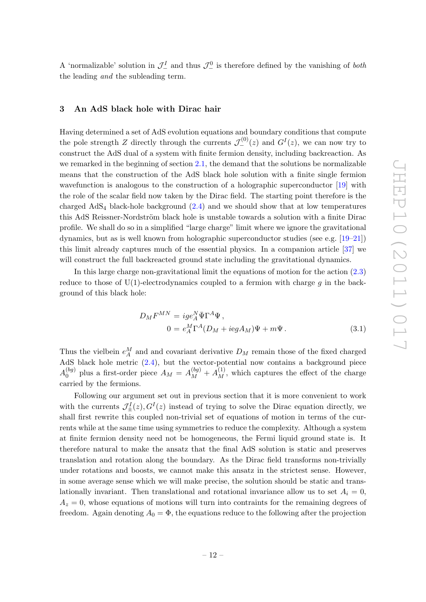A 'normalizable' solution in  $\mathcal{J}_-^I$  and thus  $\mathcal{J}_-^0$  is therefore defined by the vanishing of *both* the leading and the subleading term.

## <span id="page-12-0"></span>3 An AdS black hole with Dirac hair

Having determined a set of AdS evolution equations and boundary conditions that compute the pole strength Z directly through the currents  $\mathcal{J}^{(0)}_{-}(z)$  and  $G^{I}(z)$ , we can now try to construct the AdS dual of a system with finite fermion density, including backreaction. As we remarked in the beginning of section [2.1,](#page-8-0) the demand that the solutions be normalizable means that the construction of the AdS black hole solution with a finite single fermion wavefunction is analogous to the construction of a holographic superconductor [\[19\]](#page-27-11) with the role of the scalar field now taken by the Dirac field. The starting point therefore is the charged  $AdS_4$  black-hole background  $(2.4)$  and we should show that at low temperatures this AdS Reissner-Nordström black hole is unstable towards a solution with a finite Dirac profile. We shall do so in a simplified "large charge" limit where we ignore the gravitational dynamics, but as is well known from holographic superconductor studies (see e.g. [\[19](#page-27-11)[–21\]](#page-27-8)) this limit already captures much of the essential physics. In a companion article [\[37\]](#page-28-13) we will construct the full backreacted ground state including the gravitational dynamics.

In this large charge non-gravitational limit the equations of motion for the action [\(2.3\)](#page-5-2) reduce to those of  $U(1)$ -electrodynamics coupled to a fermion with charge g in the background of this black hole:

$$
D_M F^{MN} = ig e_A^N \bar{\Psi} \Gamma^A \Psi,
$$
  

$$
0 = e_A^M \Gamma^A (D_M + i e g A_M) \Psi + m \Psi.
$$
 (3.1)

Thus the vielbein  $e_A^M$  and and covariant derivative  $D_M$  remain those of the fixed charged AdS black hole metric [\(2.4\)](#page-5-0), but the vector-potential now contains a background piece  $A_0^{(bg)}$  $\binom{(bg)}{0}$  plus a first-order piece  $A_M = A_M^{(bg)} + A_M^{(1)}$ , which captures the effect of the charge carried by the fermions.

Following our argument set out in previous section that it is more convenient to work with the currents  $\mathcal{J}_{\pm}^{I}(z), G^{I}(z)$  instead of trying to solve the Dirac equation directly, we shall first rewrite this coupled non-trivial set of equations of motion in terms of the currents while at the same time using symmetries to reduce the complexity. Although a system at finite fermion density need not be homogeneous, the Fermi liquid ground state is. It therefore natural to make the ansatz that the final AdS solution is static and preserves translation and rotation along the boundary. As the Dirac field transforms non-trivially under rotations and boosts, we cannot make this ansatz in the strictest sense. However, in some average sense which we will make precise, the solution should be static and translationally invariant. Then translational and rotational invariance allow us to set  $A_i = 0$ ,  $A<sub>z</sub> = 0$ , whose equations of motions will turn into contraints for the remaining degrees of freedom. Again denoting  $A_0 = \Phi$ , the equations reduce to the following after the projection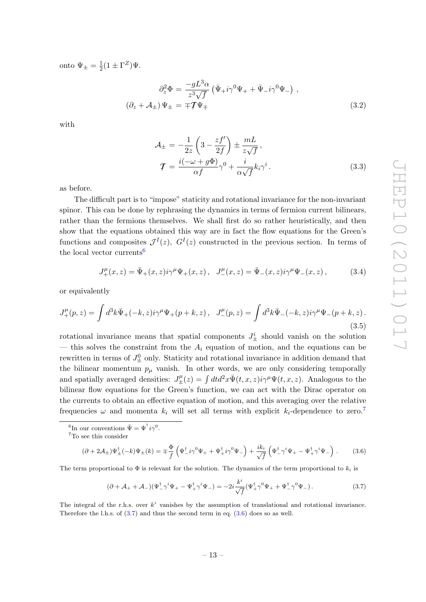onto  $\Psi_{\pm} = \frac{1}{2}$  $\frac{1}{2}(1 \pm \Gamma^Z)\Psi.$ 

$$
\partial_z^2 \Phi = \frac{-gL^3 \alpha}{z^3 \sqrt{f}} \left( \bar{\Psi}_+ i \gamma^0 \Psi_+ + \bar{\Psi}_- i \gamma^0 \Psi_- \right) ,
$$
  

$$
\left( \partial_z + \mathcal{A}_\pm \right) \Psi_\pm = \mp \mathcal{T} \Psi_\mp
$$
 (3.2)

with

$$
\mathcal{A}_{\pm} = -\frac{1}{2z} \left( 3 - \frac{zf'}{2f} \right) \pm \frac{mL}{z\sqrt{f}},
$$
  

$$
\mathcal{T} = \frac{i(-\omega + g\Phi)}{\alpha f} \gamma^0 + \frac{i}{\alpha \sqrt{f}} k_i \gamma^i.
$$
 (3.3)

as before.

The difficult part is to "impose" staticity and rotational invariance for the non-invariant spinor. This can be done by rephrasing the dynamics in terms of fermion current bilinears, rather than the fermions themselves. We shall first do so rather heuristically, and then show that the equations obtained this way are in fact the flow equations for the Green's functions and composites  $\mathcal{J}^I(z)$ ,  $G^I(z)$  constructed in the previous section. In terms of the local vector currents<sup>[6](#page-13-0)</sup>

$$
J_{+}^{\mu}(x,z) = \bar{\Psi}_{+}(x,z)i\gamma^{\mu}\Psi_{+}(x,z) , \quad J_{-}^{\mu}(x,z) = \bar{\Psi}_{-}(x,z)i\gamma^{\mu}\Psi_{-}(x,z) , \quad (3.4)
$$

or equivalently

$$
J_{+}^{\mu}(p,z) = \int d^{3}k \bar{\Psi}_{+}(-k,z)i\gamma^{\mu}\Psi_{+}(p+k,z), \quad J_{-}^{\mu}(p,z) = \int d^{3}k \bar{\Psi}_{-}(-k,z)i\gamma^{\mu}\Psi_{-}(p+k,z).
$$
\n(3.5)

rotational invariance means that spatial components  $J^i_{\pm}$  should vanish on the solution — this solves the constraint from the  $A_i$  equation of motion, and the equations can be rewritten in terms of  $J^0_{\pm}$  only. Staticity and rotational invariance in addition demand that the bilinear momentum  $p_{\mu}$  vanish. In other words, we are only considering temporally and spatially averaged densities:  $J^{\mu}_{\pm}(z) = \int dt d^2x \bar{\Psi}(t, x, z) i\gamma^{\mu} \Psi(t, x, z)$ . Analogous to the bilinear flow equations for the Green's function, we can act with the Dirac operator on the currents to obtain an effective equation of motion, and this averaging over the relative frequencies  $\omega$  and momenta  $k_i$  will set all terms with explicit  $k_i$ -dependence to zero.<sup>[7](#page-13-1)</sup>

<span id="page-13-0"></span><sup>6</sup>In our conventions  $\bar{\Psi} = \Psi^{\dagger} i \gamma^0$ .

<span id="page-13-3"></span>
$$
(\partial + 2\mathcal{A}_{\pm})\Psi_{\pm}^{\dagger}(-k)\Psi_{\pm}(k) = \mp \frac{\Phi}{f} \left( \Psi_{-}^{\dagger}i\gamma^{0}\Psi_{+} + \Psi_{+}^{\dagger}i\gamma^{0}\Psi_{-} \right) + \frac{ik_{i}}{\sqrt{f}} \left( \Psi_{-}^{\dagger}\gamma^{i}\Psi_{+} - \Psi_{+}^{\dagger}\gamma^{i}\Psi_{-} \right). \tag{3.6}
$$

The term proportional to  $\Phi$  is relevant for the solution. The dynamics of the term proportional to  $k_i$  is

<span id="page-13-2"></span>
$$
(\partial + \mathcal{A}_{+} + \mathcal{A}_{-})(\Psi_{-}^{\dagger}\gamma^{i}\Psi_{+} - \Psi_{+}^{\dagger}\gamma^{i}\Psi_{-}) = -2i\frac{k^{i}}{\sqrt{f}}(\Psi_{+}^{\dagger}\gamma^{0}\Psi_{+} + \Psi_{-}^{\dagger}\gamma^{0}\Psi_{-}).
$$
\n(3.7)

The integral of the r.h.s. over  $k^i$  vanishes by the assumption of translational and rotational invariance. Therefore the l.h.s. of [\(3.7\)](#page-13-2) and thus the second term in eq. [\(3.6\)](#page-13-3) does so as well.

<span id="page-13-1"></span><sup>7</sup>To see this consider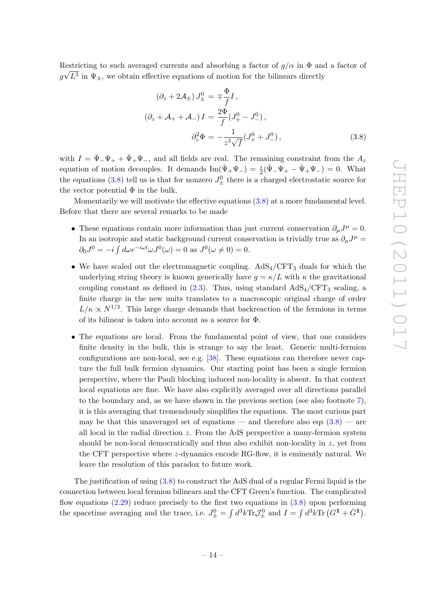Restricting to such averaged currents and absorbing a factor of  $g/\alpha$  in  $\Phi$  and a factor of  $g\sqrt{L^3}$  in  $\Psi_{\pm}$ , we obtain effective equations of motion for the bilinears directly

<span id="page-14-0"></span>
$$
(\partial_z + 2\mathcal{A}_{\pm}) J_{\pm}^0 = \mp \frac{\Phi}{f} I,
$$
  
\n
$$
(\partial_z + \mathcal{A}_{+} + \mathcal{A}_{-}) I = \frac{2\Phi}{f} (J_{+}^0 - J_{-}^0),
$$
  
\n
$$
\partial_z^2 \Phi = -\frac{1}{z^3 \sqrt{f}} (J_{+}^0 + J_{-}^0),
$$
\n(3.8)

with  $I = \bar{\Psi}_- \Psi_+ + \bar{\Psi}_+ \Psi_-,$  and all fields are real. The remaining constraint from the  $A_z$ equation of motion decouples. It demands  $\text{Im}(\bar{\Psi}_+\Psi_-) = \frac{i}{2}(\bar{\Psi}_-\Psi_+ - \bar{\Psi}_+\Psi_-) = 0$ . What the equations [\(3.8\)](#page-14-0) tell us is that for nonzero  $J_{\pm}^{0}$  there is a charged electrostatic source for the vector potential  $\Phi$  in the bulk.

Momentarily we will motivate the effective equations [\(3.8\)](#page-14-0) at a more fundamental level. Before that there are several remarks to be made

- These equations contain more information than just current conservation  $\partial_{\mu}J^{\mu} = 0$ . In an isotropic and static background current conservation is trivially true as  $\partial_{\mu}J^{\mu} =$  $\partial_0 J^0 = -i \int d\omega e^{-i\omega t} \omega J^0(\omega) = 0$  as  $J^0(\omega \neq 0) = 0$ .
- We have scaled out the electromagnetic coupling.  $AdS_4/CFT_3$  duals for which the underlying string theory is known generically have  $g = \kappa/L$  with  $\kappa$  the gravitational coupling constant as defined in  $(2.3)$ . Thus, using standard  $AdS_4/CFT_3$  scaling, a finite charge in the new units translates to a macroscopic original charge of order  $L/\kappa \propto N^{1/3}$ . This large charge demands that backreaction of the fermions in terms of its bilinear is taken into account as a source for Φ.
- The equations are local. From the fundamental point of view, that one considers finite density in the bulk, this is strange to say the least. Generic multi-fermion configurations are non-local, see e.g. [\[38\]](#page-28-4). These equations can therefore never capture the full bulk fermion dynamics. Our starting point has been a single fermion perspective, where the Pauli blocking induced non-locality is absent. In that context local equations are fine. We have also explicitly averaged over all directions parallel to the boundary and, as we have shown in the previous section (see also footnote [7\)](#page-13-2), it is this averaging that tremendously simplifies the equations. The most curious part may be that this unaveraged set of equations — and therefore also eqs  $(3.8)$  — are all local in the radial direction  $z$ . From the AdS perspective a many-fermion system should be non-local democratically and thus also exhibit non-locality in  $z$ , yet from the CFT perspective where z-dynamics encode RG-flow, it is eminently natural. We leave the resolution of this paradox to future work.

The justification of using [\(3.8\)](#page-14-0) to construct the AdS dual of a regular Fermi liquid is the connection between local fermion bilinears and the CFT Green's function. The complicated flow equations  $(2.29)$  reduce precisely to the first two equations in  $(3.8)$  upon performing the spacetime averaging and the trace, i.e.  $J_{\pm}^0 = \int d^3k \text{Tr} \mathcal{J}_{\pm}^0$  and  $I = \int d^3k \text{Tr} (G^{\mathbb{I}} + \bar{G}^{\mathbb{I}})$ .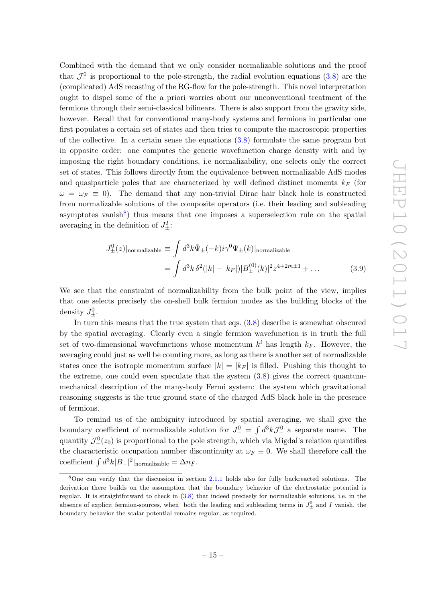Combined with the demand that we only consider normalizable solutions and the proof that  $\mathcal{J}_-^0$  is proportional to the pole-strength, the radial evolution equations [\(3.8\)](#page-14-0) are the (complicated) AdS recasting of the RG-flow for the pole-strength. This novel interpretation ought to dispel some of the a priori worries about our unconventional treatment of the fermions through their semi-classical bilinears. There is also support from the gravity side, however. Recall that for conventional many-body systems and fermions in particular one first populates a certain set of states and then tries to compute the macroscopic properties of the collective. In a certain sense the equations [\(3.8\)](#page-14-0) formulate the same program but in opposite order: one computes the generic wavefunction charge density with and by imposing the right boundary conditions, i.e normalizability, one selects only the correct set of states. This follows directly from the equivalence between normalizable AdS modes and quasiparticle poles that are characterized by well defined distinct momenta  $k_F$  (for  $\omega = \omega_F \equiv 0$ ). The demand that any non-trivial Dirac hair black hole is constructed from normalizable solutions of the composite operators (i.e. their leading and subleading asymptotes vanish<sup>[8](#page-15-0)</sup>) thus means that one imposes a superselection rule on the spatial averaging in the definition of  $J^I_{\pm}$ :

$$
J_{\pm}^{0}(z)|normalizable \equiv \int d^{3}k \bar{\Psi}_{\pm}(-k)i\gamma^{0}\Psi_{\pm}(k)|normalizable
$$
  
= 
$$
\int d^{3}k \delta^{2}(|k| - |k_{F}|)|B_{\pm}^{(0)}(k)|^{2} z^{4+2m\pm 1} + ...
$$
 (3.9)

We see that the constraint of normalizability from the bulk point of the view, implies that one selects precisely the on-shell bulk fermion modes as the building blocks of the density  $J_{\pm}^0$ .

In turn this means that the true system that eqs. [\(3.8\)](#page-14-0) describe is somewhat obscured by the spatial averaging. Clearly even a single fermion wavefunction is in truth the full set of two-dimensional wavefunctions whose momentum  $k^i$  has length  $k_F$ . However, the averaging could just as well be counting more, as long as there is another set of normalizable states once the isotropic momentum surface  $|k| = |k_F|$  is filled. Pushing this thought to the extreme, one could even speculate that the system  $(3.8)$  gives the correct quantummechanical description of the many-body Fermi system: the system which gravitational reasoning suggests is the true ground state of the charged AdS black hole in the presence of fermions.

To remind us of the ambiguity introduced by spatial averaging, we shall give the boundary coefficient of normalizable solution for  $J^0 = \int d^3k \mathcal{J}^0$  a separate name. The quantity  $\mathcal{J}^0_-(z_0)$  is proportional to the pole strength, which via Migdal's relation quantifies the characteristic occupation number discontinuity at  $\omega_F \equiv 0$ . We shall therefore call the coefficient  $\int d^3k|B_-|^2|$ <sub>normalizable</sub> =  $\Delta n_F$ .

<span id="page-15-0"></span><sup>8</sup>One can verify that the discussion in section [2.1.1](#page-11-0) holds also for fully backreacted solutions. The derivation there builds on the assumption that the boundary behavior of the electrostatic potential is regular. It is straightforward to check in [\(3.8\)](#page-14-0) that indeed precisely for normalizable solutions, i.e. in the absence of explicit fermion-sources, when both the leading and subleading terms in  $J^0_{\pm}$  and I vanish, the boundary behavior the scalar potential remains regular, as required.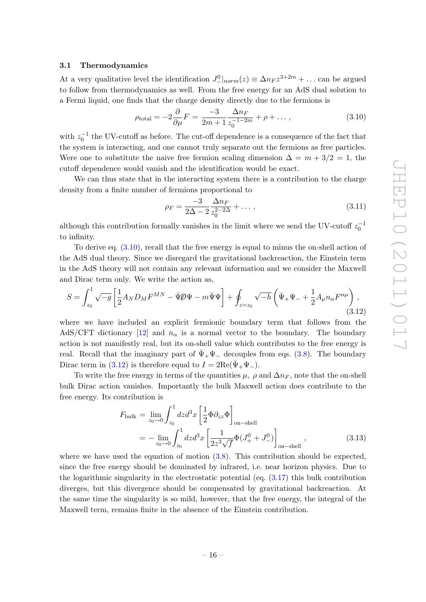#### <span id="page-16-0"></span>3.1 Thermodynamics

At a very qualitative level the identification  $J_{-|norm}^0(z) \equiv \Delta n_F z^{3+2m} + \dots$  can be argued to follow from thermodynamics as well. From the free energy for an AdS dual solution to a Fermi liquid, one finds that the charge density directly due to the fermions is

<span id="page-16-1"></span>
$$
\rho_{\text{total}} = -2\frac{\partial}{\partial \mu}F = \frac{-3}{2m+1}\frac{\Delta n_F}{z_0^{-1-2m}} + \rho + \dots,\tag{3.10}
$$

with  $z_0^{-1}$  the UV-cutoff as before. The cut-off dependence is a consequence of the fact that the system is interacting, and one cannot truly separate out the fermions as free particles. Were one to substitute the naive free fermion scaling dimension  $\Delta = m + 3/2 = 1$ , the cutoff dependence would vanish and the identification would be exact.

We can thus state that in the interacting system there is a contribution to the charge density from a finite number of fermions proportional to

$$
\rho_F = \frac{-3}{2\Delta - 2} \frac{\Delta n_F}{z_0^{2-2\Delta}} + \dots, \tag{3.11}
$$

although this contribution formally vanishes in the limit where we send the UV-cutoff  $z_0^{-1}$ to infinity.

To derive eq. [\(3.10\)](#page-16-1), recall that the free energy is equal to minus the on-shell action of the AdS dual theory. Since we disregard the gravitational backreaction, the Einstein term in the AdS theory will not contain any relevant information and we consider the Maxwell and Dirac term only. We write the action as,

<span id="page-16-2"></span>
$$
S = \int_{z_0}^1 \sqrt{-g} \left[ \frac{1}{2} A_N D_M F^{MN} - \bar{\Psi} \psi - m \bar{\Psi} \psi \right] + \oint_{z=z_0} \sqrt{-h} \left( \bar{\Psi}_+ \Psi_- + \frac{1}{2} A_\mu n_\alpha F^{\alpha \mu} \right), \tag{3.12}
$$

where we have included an explicit fermionic boundary term that follows from the AdS/CFT dictionary [\[12\]](#page-27-10) and  $n_{\alpha}$  is a normal vector to the boundary. The boundary action is not manifestly real, but its on-shell value which contributes to the free energy is real. Recall that the imaginary part of  $\Psi_+\Psi_-$  decouples from eqs. [\(3.8\)](#page-14-0). The boundary Dirac term in [\(3.12\)](#page-16-2) is therefore equal to  $I = 2\text{Re}(\bar{\Psi}_+ \Psi_-)$ .

To write the free energy in terms of the quantities  $\mu$ ,  $\rho$  and  $\Delta n_F$ , note that the on-shell bulk Dirac action vanishes. Importantly the bulk Maxwell action does contribute to the free energy. Its contribution is

<span id="page-16-3"></span>
$$
F_{\text{bulk}} = \lim_{z_0 \to 0} \int_{z_0}^1 dz d^3 x \left[ \frac{1}{2} \Phi \partial_{zz} \Phi \right]_{\text{on-shell}}
$$
  
= 
$$
- \lim_{z_0 \to 0} \int_{z_0}^1 dz d^3 x \left[ \frac{1}{2z^3 \sqrt{f}} \Phi (J_+^0 + J_-^0) \right]_{\text{on-shell}},
$$
(3.13)

where we have used the equation of motion  $(3.8)$ . This contribution should be expected, since the free energy should be dominated by infrared, i.e. near horizon physics. Due to the logarithmic singularity in the electrostatic potential (eq. [\(3.17\)](#page-17-1) this bulk contribution diverges, but this divergence should be compensated by gravitational backreaction. At the same time the singularity is so mild, however, that the free energy, the integral of the Maxwell term, remains finite in the absence of the Einstein contribution.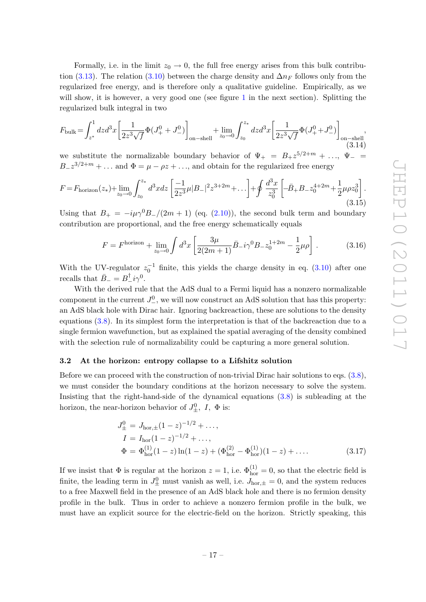Formally, i.e. in the limit  $z_0 \rightarrow 0$ , the full free energy arises from this bulk contribu-tion [\(3.13\)](#page-16-3). The relation [\(3.10\)](#page-16-1) between the charge density and  $\Delta n_F$  follows only from the regularized free energy, and is therefore only a qualitative guideline. Empirically, as we will show, it is however, a very good one (see figure [1](#page-19-1) in the next section). Splitting the regularized bulk integral in two

$$
F_{\text{bulk}} = \int_{z^*}^1 dz d^3x \left[ \frac{1}{2z^3 \sqrt{f}} \Phi(J_+^0 + J_-^0) \right]_{\text{on-shell}} + \lim_{z_0 \to 0} \int_{z_0}^{z_*} dz d^3x \left[ \frac{1}{2z^3 \sqrt{f}} \Phi(J_+^0 + J_-^0) \right]_{\text{on-shell}} ,\tag{3.14}
$$

we substitute the normalizable boundary behavior of  $\Psi_+ = B_+ z^{5/2+m} + \ldots, \Psi_- =$  $B_{-}z^{3/2+m} + \ldots$  and  $\Phi = \mu - \rho z + \ldots$ , and obtain for the regularized free energy

$$
F = F_{\text{horizon}}(z_*) + \lim_{z_0 \to 0} \int_{z_0}^{z_*} d^3x \, dz \left[ \frac{-1}{2z^3} \mu |B_-|^2 z^{3+2m} + \dots \right] + \oint \frac{d^3x}{z_0^3} \left[ -\bar{B}_+ B_- z_0^{4+2m} + \frac{1}{2} \mu \rho z_0^3 \right]. \tag{3.15}
$$

Using that  $B_+ = -i\mu\gamma^0B_-/(2m+1)$  (eq. [\(2.10\)](#page-6-0)), the second bulk term and boundary contribution are proportional, and the free energy schematically equals

<span id="page-17-2"></span>
$$
F = Fhorizon + \lim_{z_0 \to 0} \int d^3x \left[ \frac{3\mu}{2(2m+1)} \bar{B}_{-} i\gamma^0 B_{-} z_0^{1+2m} - \frac{1}{2} \mu \rho \right].
$$
 (3.16)

With the UV-regulator  $z_0^{-1}$  finite, this yields the charge density in eq. [\(3.10\)](#page-16-1) after one recalls that  $\bar{B}_- = B_-^{\dagger} i \gamma^0$ .

With the derived rule that the AdS dual to a Fermi liquid has a nonzero normalizable component in the current  $J^0_-,$  we will now construct an AdS solution that has this property: an AdS black hole with Dirac hair. Ignoring backreaction, these are solutions to the density equations [\(3.8\)](#page-14-0). In its simplest form the interpretation is that of the backreaction due to a single fermion wavefunction, but as explained the spatial averaging of the density combined with the selection rule of normalizability could be capturing a more general solution.

#### <span id="page-17-0"></span>3.2 At the horizon: entropy collapse to a Lifshitz solution

Before we can proceed with the construction of non-trivial Dirac hair solutions to eqs. [\(3.8\)](#page-14-0), we must consider the boundary conditions at the horizon necessary to solve the system. Insisting that the right-hand-side of the dynamical equations [\(3.8\)](#page-14-0) is subleading at the horizon, the near-horizon behavior of  $J_{\pm}^0$ ,  $I$ ,  $\Phi$  is:

<span id="page-17-1"></span>
$$
J_{\pm}^{0} = J_{\text{hor},\pm}(1-z)^{-1/2} + ..., \nI = I_{\text{hor}}(1-z)^{-1/2} + ..., \n\Phi = \Phi_{\text{hor}}^{(1)}(1-z)\ln(1-z) + (\Phi_{\text{hor}}^{(2)} - \Phi_{\text{hor}}^{(1)})(1-z) + ....
$$
\n(3.17)

If we insist that  $\Phi$  is regular at the horizon  $z = 1$ , i.e.  $\Phi_{\text{hor}}^{(1)} = 0$ , so that the electric field is finite, the leading term in  $J^0_{\pm}$  must vanish as well, i.e.  $J_{\text{hor},\pm} = 0$ , and the system reduces to a free Maxwell field in the presence of an AdS black hole and there is no fermion density profile in the bulk. Thus in order to achieve a nonzero fermion profile in the bulk, we must have an explicit source for the electric-field on the horizon. Strictly speaking, this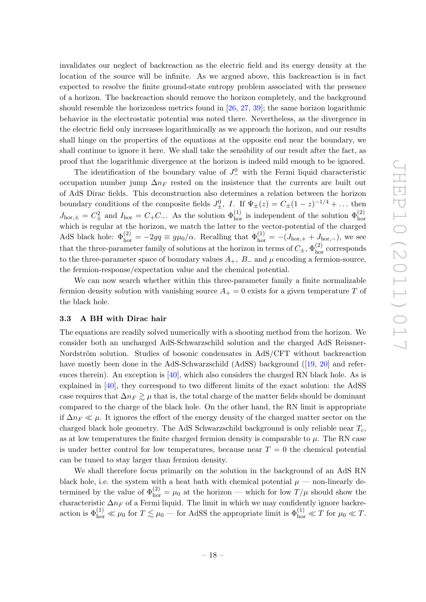invalidates our neglect of backreaction as the electric field and its energy density at the location of the source will be infinite. As we argued above, this backreaction is in fact expected to resolve the finite ground-state entropy problem associated with the presence of a horizon. The backreaction should remove the horizon completely, and the background should resemble the horizonless metrics found in [\[26,](#page-28-2) [27,](#page-28-3) [39\]](#page-28-14); the same horizon logarithmic behavior in the electrostatic potential was noted there. Nevertheless, as the divergence in the electric field only increases logarithmically as we approach the horizon, and our results shall hinge on the properties of the equations at the opposite end near the boundary, we shall continue to ignore it here. We shall take the sensibility of our result after the fact, as proof that the logarithmic divergence at the horizon is indeed mild enough to be ignored.

The identification of the boundary value of  $J^0$  with the Fermi liquid characteristic occupation number jump  $\Delta n_F$  rested on the insistence that the currents are built out of AdS Dirac fields. This deconstruction also determines a relation between the horizon boundary conditions of the composite fields  $J_{\pm}^0$ , I. If  $\Psi_{\pm}(z) = C_{\pm} (1-z)^{-1/4} + \dots$  then  $J_{\text{hor},\pm} = C_{\pm}^2$  and  $I_{\text{hor}} = C_{+}C_{-}$ . As the solution  $\Phi_{\text{hor}}^{(1)}$  is independent of the solution  $\Phi_{\text{hor}}^{(2)}$ which is regular at the horizon, we match the latter to the vector-potential of the charged AdS black hole:  $\Phi_{\text{hor}}^{(2)} = -2gq \equiv g\mu_0/\alpha$ . Recalling that  $\Phi_{\text{hor}}^{(1)} = -(J_{\text{hor},+} + J_{\text{hor},-}),$  we see that the three-parameter family of solutions at the horizon in terms of  $C_{\pm}$ ,  $\Phi_{\rm hor}^{(2)}$  corresponds to the three-parameter space of boundary values  $A_+$ ,  $B_-$  and  $\mu$  encoding a fermion-source, the fermion-response/expectation value and the chemical potential.

We can now search whether within this three-parameter family a finite normalizable fermion density solution with vanishing source  $A_+ = 0$  exists for a given temperature T of the black hole.

#### <span id="page-18-0"></span>3.3 A BH with Dirac hair

The equations are readily solved numerically with a shooting method from the horizon. We consider both an uncharged AdS-Schwarzschild solution and the charged AdS Reissner-Nordström solution. Studies of bosonic condensates in AdS/CFT without backreaction havemostly been done in the AdS-Schwarzschild (AdSS) background ([\[19,](#page-27-11) [20\]](#page-27-12) and references therein). An exception is  $[40]$ , which also considers the charged RN black hole. As is explained in [\[40\]](#page-28-15), they correspond to two different limits of the exact solution: the AdSS case requires that  $\Delta n_F \gtrsim \mu$  that is, the total charge of the matter fields should be dominant compared to the charge of the black hole. On the other hand, the RN limit is appropriate if  $\Delta n_F \ll \mu$ . It ignores the effect of the energy density of the charged matter sector on the charged black hole geometry. The AdS Schwarzschild background is only reliable near  $T_c$ , as at low temperatures the finite charged fermion density is comparable to  $\mu$ . The RN case is under better control for low temperatures, because near  $T = 0$  the chemical potential can be tuned to stay larger than fermion density.

We shall therefore focus primarily on the solution in the background of an AdS RN black hole, i.e. the system with a heat bath with chemical potential  $\mu$  — non-linearly determined by the value of  $\Phi_{\text{hor}}^{(2)} = \mu_0$  at the horizon — which for low  $T/\mu$  should show the characteristic  $\Delta n_F$  of a Fermi liquid. The limit in which we may confidently ignore backreaction is  $\Phi_{\text{hor}}^{(1)} \ll \mu_0$  for  $T \lesssim \mu_0$  — for AdSS the appropriate limit is  $\Phi_{\text{hor}}^{(1)} \ll T$  for  $\mu_0 \ll T$ .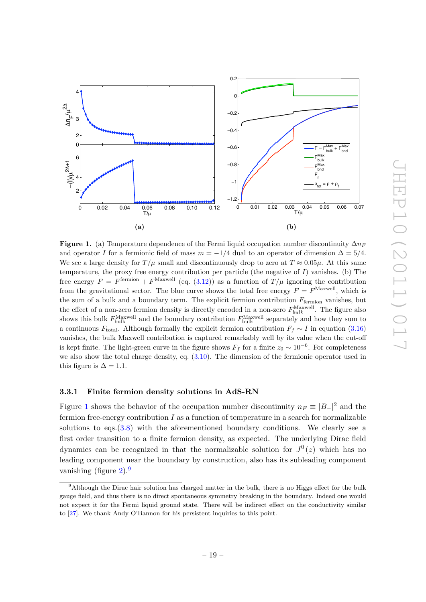

<span id="page-19-1"></span>**Figure 1.** (a) Temperature dependence of the Fermi liquid occupation number discontinuity  $\Delta n_F$ and operator I for a fermionic field of mass  $m = -1/4$  dual to an operator of dimension  $\Delta = 5/4$ . We see a large density for  $T/\mu$  small and discontinuously drop to zero at  $T \approx 0.05\mu$ . At this same temperature, the proxy free energy contribution per particle (the negative of  $I$ ) vanishes. (b) The free energy  $F = F^{\text{fermion}} + F^{\text{Maxwell}}$  (eq. [\(3.12\)](#page-16-2)) as a function of  $T/\mu$  ignoring the contribution from the gravitational sector. The blue curve shows the total free energy  $F = F^{\text{Maxwell}}$ , which is the sum of a bulk and a boundary term. The explicit fermion contribution  $F_{\text{fermion}}$  vanishes, but the effect of a non-zero fermion density is directly encoded in a non-zero  $F_{bulk}^{\text{Maxwell}}$ . The figure also shows this bulk  $F_{\text{bulk}}^{\text{Maxwell}}$  and the boundary contribution  $F_{\text{bulk}}^{\text{Maxwell}}$  separately and how they sum to a continuous  $F_{\text{total}}$ . Although formally the explicit fermion contribution  $F_f \sim I$  in equation [\(3.16\)](#page-17-2) vanishes, the bulk Maxwell contribution is captured remarkably well by its value when the cut-off is kept finite. The light-green curve in the figure shows  $F_f$  for a finite  $z_0 \sim 10^{-6}$ . For completeness we also show the total charge density, eq. [\(3.10\)](#page-16-1). The dimension of the fermionic operator used in this figure is  $\Delta = 1.1$ .

#### <span id="page-19-0"></span>3.3.1 Finite fermion density solutions in AdS-RN

Figure [1](#page-19-1) shows the behavior of the occupation number discontinuity  $n_F \equiv |B_-|^2$  and the fermion free-energy contribution  $I$  as a function of temperature in a search for normalizable solutions to  $egs.(3.8)$  $egs.(3.8)$  with the aforementioned boundary conditions. We clearly see a first order transition to a finite fermion density, as expected. The underlying Dirac field dynamics can be recognized in that the normalizable solution for  $J^0_-(z)$  which has no leading component near the boundary by construction, also has its subleading component vanishing (figure  $2)$ .<sup>[9](#page-19-2)</sup>

<span id="page-19-2"></span><sup>9</sup>Although the Dirac hair solution has charged matter in the bulk, there is no Higgs effect for the bulk gauge field, and thus there is no direct spontaneous symmetry breaking in the boundary. Indeed one would not expect it for the Fermi liquid ground state. There will be indirect effect on the conductivity similar to [\[27\]](#page-28-3). We thank Andy O'Bannon for his persistent inquiries to this point.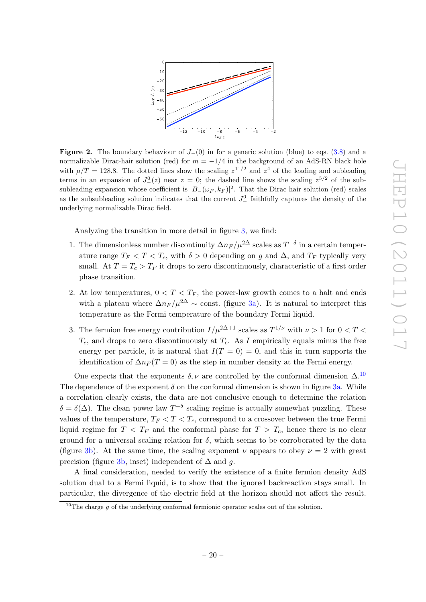

<span id="page-20-0"></span>Figure 2. The boundary behaviour of  $J_-(0)$  in for a generic solution (blue) to eqs. [\(3.8\)](#page-14-0) and a normalizable Dirac-hair solution (red) for  $m = -1/4$  in the background of an AdS-RN black hole with  $\mu/T = 128.8$ . The dotted lines show the scaling  $z^{11/2}$  and  $z^4$  of the leading and subleading terms in an expansion of  $J^0_-(z)$  near  $z = 0$ ; the dashed line shows the scaling  $z^{5/2}$  of the subsubleading expansion whose coefficient is  $|B_-(\omega_F, k_F)|^2$ . That the Dirac hair solution (red) scales as the subsubleading solution indicates that the current  $J^0_-$  faithfully captures the density of the underlying normalizable Dirac field.

Analyzing the transition in more detail in figure [3,](#page-21-0) we find:

- 1. The dimensionless number discontinuity  $\Delta n_F / \mu^{2\Delta}$  scales as  $T^{-\delta}$  in a certain temperature range  $T_F < T < T_c$ , with  $\delta > 0$  depending on g and  $\Delta$ , and  $T_F$  typically very small. At  $T = T_c > T_F$  it drops to zero discontinuously, characteristic of a first order phase transition.
- 2. At low temperatures,  $0 < T < T_F$ , the power-law growth comes to a halt and ends with a plateau where  $\Delta n_F / \mu^{2\Delta} \sim$  const. (figure [3a\)](#page-21-1). It is natural to interpret this temperature as the Fermi temperature of the boundary Fermi liquid.
- 3. The fermion free energy contribution  $I/\mu^{2\Delta+1}$  scales as  $T^{1/\nu}$  with  $\nu > 1$  for  $0 < T <$  $T_c$ , and drops to zero discontinuously at  $T_c$ . As I empirically equals minus the free energy per particle, it is natural that  $I(T = 0) = 0$ , and this in turn supports the identification of  $\Delta n_F (T = 0)$  as the step in number density at the Fermi energy.

One expects that the exponents  $\delta, \nu$  are controlled by the conformal dimension  $\Delta$ .<sup>[10](#page-20-1)</sup> The dependence of the exponent  $\delta$  on the conformal dimension is shown in figure [3a.](#page-21-1) While a correlation clearly exists, the data are not conclusive enough to determine the relation  $\delta = \delta(\Delta)$ . The clean power law  $T^{-\delta}$  scaling regime is actually somewhat puzzling. These values of the temperature,  $T_F < T < T_c$ , correspond to a crossover between the true Fermi liquid regime for  $T < T_F$  and the conformal phase for  $T > T_c$ , hence there is no clear ground for a universal scaling relation for  $\delta$ , which seems to be corroborated by the data (figure [3b\)](#page-21-2). At the same time, the scaling exponent  $\nu$  appears to obey  $\nu = 2$  with great precision (figure [3b,](#page-21-2) inset) independent of  $\Delta$  and g.

A final consideration, needed to verify the existence of a finite fermion density AdS solution dual to a Fermi liquid, is to show that the ignored backreaction stays small. In particular, the divergence of the electric field at the horizon should not affect the result.

<span id="page-20-1"></span> $10$ The charge q of the underlying conformal fermionic operator scales out of the solution.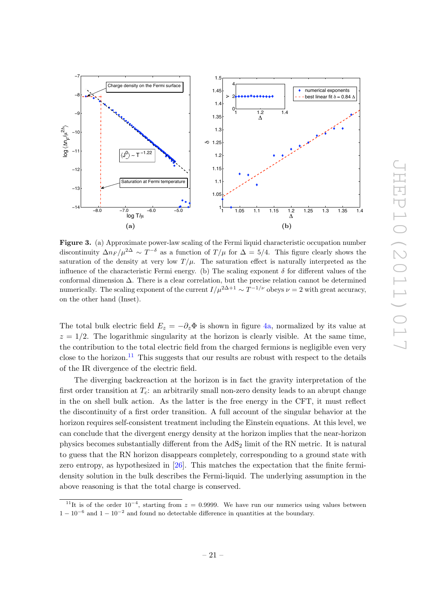<span id="page-21-1"></span>

<span id="page-21-2"></span><span id="page-21-0"></span>Figure 3. (a) Approximate power-law scaling of the Fermi liquid characteristic occupation number discontinuity  $\Delta n_F / \mu^{2\Delta} \sim T^{-\delta}$  as a function of  $T/\mu$  for  $\Delta = 5/4$ . This figure clearly shows the saturation of the density at very low  $T/\mu$ . The saturation effect is naturally interpreted as the influence of the characteristic Fermi energy. (b) The scaling exponent  $\delta$  for different values of the conformal dimension ∆. There is a clear correlation, but the precise relation cannot be determined numerically. The scaling exponent of the current  $I/\mu^{2\Delta+1} \sim T^{-1/\nu}$  obeys  $\nu = 2$  with great accuracy, on the other hand (Inset).

The total bulk electric field  $E_z = -\partial_z \Phi$  is shown in figure [4a,](#page-22-1) normalized by its value at  $z = 1/2$ . The logarithmic singularity at the horizon is clearly visible. At the same time, the contribution to the total electric field from the charged fermions is negligible even very close to the horizon.<sup>[11](#page-21-3)</sup> This suggests that our results are robust with respect to the details of the IR divergence of the electric field.

The diverging backreaction at the horizon is in fact the gravity interpretation of the first order transition at  $T_c$ : an arbitrarily small non-zero density leads to an abrupt change in the on shell bulk action. As the latter is the free energy in the CFT, it must reflect the discontinuity of a first order transition. A full account of the singular behavior at the horizon requires self-consistent treatment including the Einstein equations. At this level, we can conclude that the divergent energy density at the horizon implies that the near-horizon physics becomes substantially different from the  $AdS<sub>2</sub>$  limit of the RN metric. It is natural to guess that the RN horizon disappears completely, corresponding to a ground state with zero entropy, as hypothesized in [\[26\]](#page-28-2). This matches the expectation that the finite fermidensity solution in the bulk describes the Fermi-liquid. The underlying assumption in the above reasoning is that the total charge is conserved.

<span id="page-21-3"></span><sup>&</sup>lt;sup>11</sup>It is of the order  $10^{-4}$ , starting from  $z = 0.9999$ . We have run our numerics using values between  $1-10^{-6}$  and  $1-10^{-2}$  and found no detectable difference in quantities at the boundary.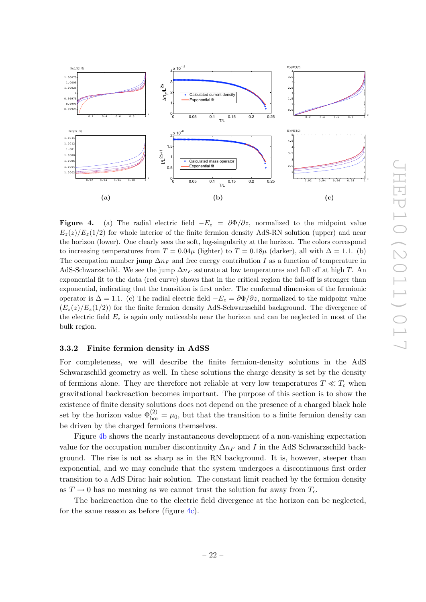

<span id="page-22-3"></span><span id="page-22-2"></span><span id="page-22-1"></span>**Figure 4.** (a) The radial electric field  $-E_z = \partial \Phi / \partial z$ , normalized to the midpoint value  $E_z(z)/E_z(1/2)$  for whole interior of the finite fermion density AdS-RN solution (upper) and near the horizon (lower). One clearly sees the soft, log-singularity at the horizon. The colors correspond to increasing temperatures from  $T = 0.04\mu$  (lighter) to  $T = 0.18\mu$  (darker), all with  $\Delta = 1.1$ . (b) The occupation number jump  $\Delta n_F$  and free energy contribution I as a function of temperature in AdS-Schwarzschild. We see the jump  $\Delta n_F$  saturate at low temperatures and fall off at high T. An exponential fit to the data (red curve) shows that in the critical region the fall-off is stronger than exponential, indicating that the transition is first order. The conformal dimension of the fermionic operator is  $\Delta = 1.1$ . (c) The radial electric field  $-E_z = \frac{\partial \Phi}{\partial z}$ , normalized to the midpoint value  $(E_z(z)/E_z(1/2))$  for the finite fermion density AdS-Schwarzschild background. The divergence of the electric field  $E_z$  is again only noticeable near the horizon and can be neglected in most of the bulk region.

#### <span id="page-22-0"></span>3.3.2 Finite fermion density in AdSS

For completeness, we will describe the finite fermion-density solutions in the AdS Schwarzschild geometry as well. In these solutions the charge density is set by the density of fermions alone. They are therefore not reliable at very low temperatures  $T \ll T_c$  when gravitational backreaction becomes important. The purpose of this section is to show the existence of finite density solutions does not depend on the presence of a charged black hole set by the horizon value  $\Phi_{\text{hor}}^{(2)} = \mu_0$ , but that the transition to a finite fermion density can be driven by the charged fermions themselves.

Figure [4b](#page-22-2) shows the nearly instantaneous development of a non-vanishing expectation value for the occupation number discontinuity  $\Delta n_F$  and I in the AdS Schwarzschild background. The rise is not as sharp as in the RN background. It is, however, steeper than exponential, and we may conclude that the system undergoes a discontinuous first order transition to a AdS Dirac hair solution. The constant limit reached by the fermion density as  $T \to 0$  has no meaning as we cannot trust the solution far away from  $T_c$ .

The backreaction due to the electric field divergence at the horizon can be neglected, for the same reason as before (figure [4c\)](#page-22-3).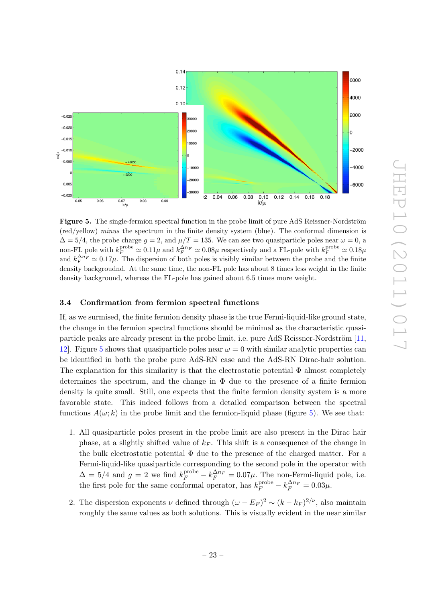

<span id="page-23-1"></span>Figure 5. The single-fermion spectral function in the probe limit of pure AdS Reissner-Nordström (red/yellow) minus the spectrum in the finite density system (blue). The conformal dimension is  $\Delta = 5/4$ , the probe charge  $g = 2$ , and  $\mu/T = 135$ . We can see two quasiparticle poles near  $\omega = 0$ , a non-FL pole with  $k_F^{\text{probe}} \simeq 0.11\mu$  and  $k_F^{\Delta n_F} \simeq 0.08\mu$  respectively and a FL-pole with  $k_F^{\text{probe}} \simeq 0.18\mu$ and  $k_F^{\Delta n_F} \simeq 0.17 \mu$ . The dispersion of both poles is visibly similar between the probe and the finite density backgroudnd. At the same time, the non-FL pole has about 8 times less weight in the finite density background, whereas the FL-pole has gained about 6.5 times more weight.

#### <span id="page-23-0"></span>3.4 Confirmation from fermion spectral functions

If, as we surmised, the finite fermion density phase is the true Fermi-liquid-like ground state, the change in the fermion spectral functions should be minimal as the characteristic quasiparticle peaks are already present in the probe limit, i.e. pure AdS Reissner-Nordström  $[11,$ [12\]](#page-27-10). Figure [5](#page-23-1) shows that quasiparticle poles near  $\omega = 0$  with similar analytic properties can be identified in both the probe pure AdS-RN case and the AdS-RN Dirac-hair solution. The explanation for this similarity is that the electrostatic potential  $\Phi$  almost completely determines the spectrum, and the change in  $\Phi$  due to the presence of a finite fermion density is quite small. Still, one expects that the finite fermion density system is a more favorable state. This indeed follows from a detailed comparison between the spectral functions  $A(\omega; k)$  in the probe limit and the fermion-liquid phase (figure [5\)](#page-23-1). We see that:

- 1. All quasiparticle poles present in the probe limit are also present in the Dirac hair phase, at a slightly shifted value of  $k_F$ . This shift is a consequence of the change in the bulk electrostatic potential  $\Phi$  due to the presence of the charged matter. For a Fermi-liquid-like quasiparticle corresponding to the second pole in the operator with  $\Delta = 5/4$  and  $g = 2$  we find  $k_F^{\text{probe}} - k_F^{\Delta n_F} = 0.07 \mu$ . The non-Fermi-liquid pole, i.e. the first pole for the same conformal operator, has  $k_F^{\text{probe}} - k_F^{\Delta n_F} = 0.03 \mu$ .
- 2. The dispersion exponents  $\nu$  defined through  $(\omega E_F)^2 \sim (k k_F)^{2/\nu}$ , also maintain roughly the same values as both solutions. This is visually evident in the near similar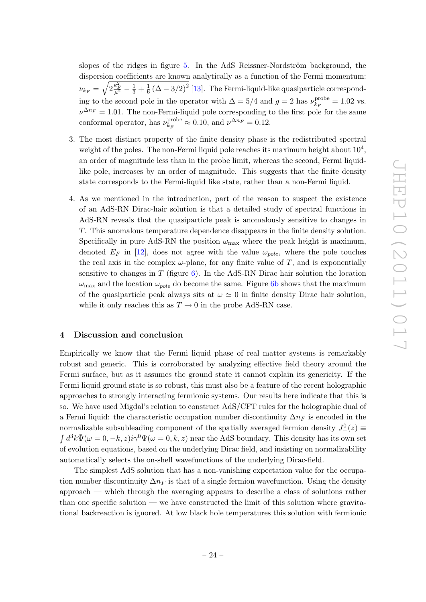slopes of the ridges in figure [5.](#page-23-1) In the AdS Reissner-Nordström background, the dispersion coefficients are known analytically as a function of the Fermi momentum:  $\nu_{k_F} = \sqrt{2\frac{k_F^2}{\mu^2}-\frac{1}{3}+\frac{1}{6}}$  $\frac{1}{6} (\Delta - 3/2)^2$  [\[13\]](#page-27-6). The Fermi-liquid-like quasiparticle corresponding to the second pole in the operator with  $\Delta = 5/4$  and  $g = 2$  has  $\nu_{k_B}^{\text{probe}}$  $k_F^{\text{probe}} = 1.02$  vs.  $\nu^{\Delta n_F} = 1.01$ . The non-Fermi-liquid pole corresponding to the first pole for the same conformal operator, has  $\nu_{k_D}^{\text{probe}}$  $\chi_{F}^{\text{probe}} \approx 0.10$ , and  $\nu^{\Delta n_F} = 0.12$ .

- 3. The most distinct property of the finite density phase is the redistributed spectral weight of the poles. The non-Fermi liquid pole reaches its maximum height about  $10^4$ , an order of magnitude less than in the probe limit, whereas the second, Fermi liquidlike pole, increases by an order of magnitude. This suggests that the finite density state corresponds to the Fermi-liquid like state, rather than a non-Fermi liquid.
- 4. As we mentioned in the introduction, part of the reason to suspect the existence of an AdS-RN Dirac-hair solution is that a detailed study of spectral functions in AdS-RN reveals that the quasiparticle peak is anomalously sensitive to changes in T. This anomalous temperature dependence disappears in the finite density solution. Specifically in pure AdS-RN the position  $\omega_{\text{max}}$  where the peak height is maximum, denoted  $E_F$  in [\[12\]](#page-27-10), does not agree with the value  $\omega_{pole}$ , where the pole touches the real axis in the complex  $\omega$ -plane, for any finite value of T, and is exponentially sensitive to changes in  $T$  (figure [6\)](#page-25-0). In the AdS-RN Dirac hair solution the location  $\omega_{\text{max}}$  and the location  $\omega_{pole}$  do become the same. Figure [6b](#page-25-1) shows that the maximum of the quasiparticle peak always sits at  $\omega \simeq 0$  in finite density Dirac hair solution, while it only reaches this as  $T \to 0$  in the probe AdS-RN case.

#### <span id="page-24-0"></span>4 Discussion and conclusion

Empirically we know that the Fermi liquid phase of real matter systems is remarkably robust and generic. This is corroborated by analyzing effective field theory around the Fermi surface, but as it assumes the ground state it cannot explain its genericity. If the Fermi liquid ground state is so robust, this must also be a feature of the recent holographic approaches to strongly interacting fermionic systems. Our results here indicate that this is so. We have used Migdal's relation to construct AdS/CFT rules for the holographic dual of a Fermi liquid: the characteristic occupation number discontinuity  $\Delta n_F$  is encoded in the normalizable subsubleading component of the spatially averaged fermion density  $J_{-}^{0}(z) \equiv$  $\int d^3k \bar{\Psi}(\omega=0,-k,z)i\gamma^0\Psi(\omega=0,k,z)$  near the AdS boundary. This density has its own set of evolution equations, based on the underlying Dirac field, and insisting on normalizability automatically selects the on-shell wavefunctions of the underlying Dirac-field.

The simplest AdS solution that has a non-vanishing expectation value for the occupation number discontinuity  $\Delta n_F$  is that of a single fermion wavefunction. Using the density approach — which through the averaging appears to describe a class of solutions rather than one specific solution — we have constructed the limit of this solution where gravitational backreaction is ignored. At low black hole temperatures this solution with fermionic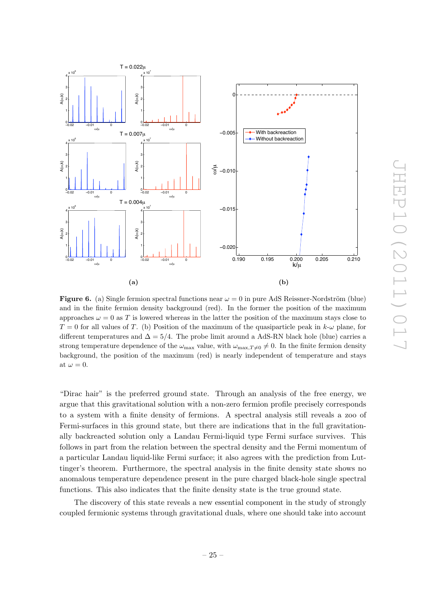

<span id="page-25-1"></span><span id="page-25-0"></span>**Figure 6.** (a) Single fermion spectral functions near  $\omega = 0$  in pure AdS Reissner-Nordström (blue) and in the finite fermion density background (red). In the former the position of the maximum approaches  $\omega = 0$  as T is lowered whereas in the latter the position of the maximum stays close to  $T = 0$  for all values of T. (b) Position of the maximum of the quasiparticle peak in  $k-\omega$  plane, for different temperatures and  $\Delta = 5/4$ . The probe limit around a AdS-RN black hole (blue) carries a strong temperature dependence of the  $\omega_{\text{max}}$  value, with  $\omega_{\text{max,T}\neq 0}\neq 0$ . In the finite fermion density background, the position of the maximum (red) is nearly independent of temperature and stays at  $\omega = 0$ .

"Dirac hair" is the preferred ground state. Through an analysis of the free energy, we argue that this gravitational solution with a non-zero fermion profile precisely corresponds to a system with a finite density of fermions. A spectral analysis still reveals a zoo of Fermi-surfaces in this ground state, but there are indications that in the full gravitationally backreacted solution only a Landau Fermi-liquid type Fermi surface survives. This follows in part from the relation between the spectral density and the Fermi momentum of a particular Landau liquid-like Fermi surface; it also agrees with the prediction from Luttinger's theorem. Furthermore, the spectral analysis in the finite density state shows no anomalous temperature dependence present in the pure charged black-hole single spectral functions. This also indicates that the finite density state is the true ground state.

The discovery of this state reveals a new essential component in the study of strongly coupled fermionic systems through gravitational duals, where one should take into account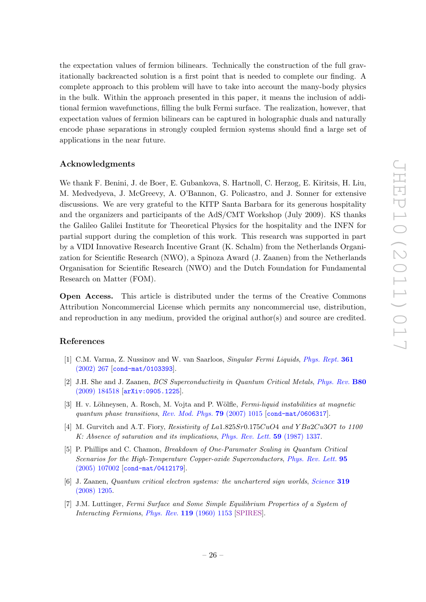the expectation values of fermion bilinears. Technically the construction of the full gravitationally backreacted solution is a first point that is needed to complete our finding. A complete approach to this problem will have to take into account the many-body physics in the bulk. Within the approach presented in this paper, it means the inclusion of additional fermion wavefunctions, filling the bulk Fermi surface. The realization, however, that expectation values of fermion bilinears can be captured in holographic duals and naturally encode phase separations in strongly coupled fermion systems should find a large set of applications in the near future.

## Acknowledgments

We thank F. Benini, J. de Boer, E. Gubankova, S. Hartnoll, C. Herzog, E. Kiritsis, H. Liu, M. Medvedyeva, J. McGreevy, A. O'Bannon, G. Policastro, and J. Sonner for extensive discussions. We are very grateful to the KITP Santa Barbara for its generous hospitality and the organizers and participants of the AdS/CMT Workshop (July 2009). KS thanks the Galileo Galilei Institute for Theoretical Physics for the hospitality and the INFN for partial support during the completion of this work. This research was supported in part by a VIDI Innovative Research Incentive Grant (K. Schalm) from the Netherlands Organization for Scientific Research (NWO), a Spinoza Award (J. Zaanen) from the Netherlands Organisation for Scientific Research (NWO) and the Dutch Foundation for Fundamental Research on Matter (FOM).

Open Access. This article is distributed under the terms of the Creative Commons Attribution Noncommercial License which permits any noncommercial use, distribution, and reproduction in any medium, provided the original author(s) and source are credited.

### References

- <span id="page-26-0"></span>[1] C.M. Varma, Z. Nussinov and W. van Saarloos, Singular Fermi Liquids, [Phys. Rept.](http://dx.doi.org/10.1016/S0370-1573(01)00060-6) 361 [\(2002\) 267](http://dx.doi.org/10.1016/S0370-1573(01)00060-6) [[cond-mat/0103393](http://arxiv.org/abs/cond-mat/0103393)].
- <span id="page-26-1"></span>[2] J.H. She and J. Zaanen, BCS Superconductivity in Quantum Critical Metals, [Phys. Rev.](http://dx.doi.org/10.1103/PhysRevB.80.184518) B80 [\(2009\) 184518](http://dx.doi.org/10.1103/PhysRevB.80.184518) [[arXiv:0905.1225](http://arxiv.org/abs/0905.1225)].
- <span id="page-26-2"></span>[3] H. v. Löhneysen, A. Rosch, M. Vojta and P. Wölfle, *Fermi-liquid instabilities at magnetic* quantum phase transitions, [Rev. Mod. Phys.](http://dx.doi.org/10.1103/RevModPhys.79.1015) 79 (2007) 1015 [[cond-mat/0606317](http://arxiv.org/abs/cond-mat/0606317)].
- <span id="page-26-3"></span>[4] M. Gurvitch and A.T. Fiory, Resistivity of  $La1.825Sr0.175CuO4$  and  $YBa2Cu3O7$  to 1100 K: Absence of saturation and its implications, [Phys. Rev. Lett.](http://dx.doi.org/10.1103/PhysRevLett.59.1337) 59 (1987) 1337.
- <span id="page-26-4"></span>[5] P. Phillips and C. Chamon, Breakdown of One-Paramater Scaling in Quantum Critical Scenarios for the High-Temperature Copper-oxide Superconductors, [Phys. Rev. Lett.](http://dx.doi.org/10.1103/PhysRevLett.95.107002) 95 [\(2005\) 107002](http://dx.doi.org/10.1103/PhysRevLett.95.107002) [[cond-mat/0412179](http://arxiv.org/abs/cond-mat/0412179)].
- <span id="page-26-5"></span>[6] J. Zaanen, Quantum critical electron systems: the unchartered sign worlds, [Science](http://dx.doi.org/10.1126/science.1152443) 319 [\(2008\) 1205.](http://dx.doi.org/10.1126/science.1152443)
- <span id="page-26-6"></span>[7] J.M. Luttinger, Fermi Surface and Some Simple Equilibrium Properties of a System of Interacting Fermions, Phys. Rev. 119 [\(1960\) 1153](http://dx.doi.org/10.1103/PhysRev.119.1153) [\[SPIRES\]](http://www-spires.slac.stanford.edu/spires/find/hep/www?j=PHRVA,119,1153).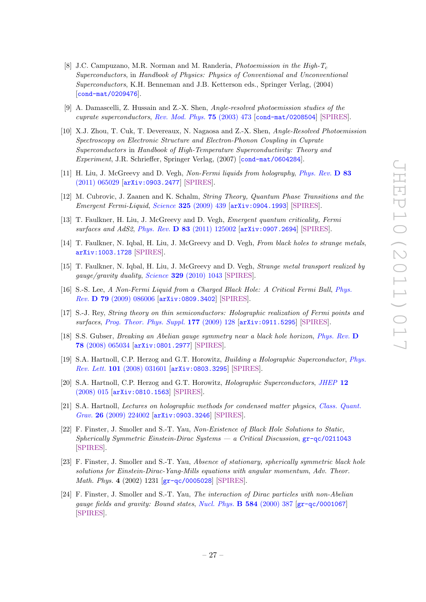- <span id="page-27-0"></span>[8] J.C. Campuzano, M.R. Norman and M. Randeria, *Photoemission in the High-T<sub>c</sub>* Superconductors, in Handbook of Physics: Physics of Conventional and Unconventional Superconductors, K.H. Benneman and J.B. Ketterson eds., Springer Verlag, (2004) [[cond-mat/0209476](http://arxiv.org/abs/cond-mat/0209476)].
- [9] A. Damascelli, Z. Hussain and Z.-X. Shen, Angle-resolved photoemission studies of the cuprate superconductors, [Rev. Mod. Phys.](http://dx.doi.org/10.1103/RevModPhys.75.473) 75 (2003) 473 [[cond-mat/0208504](http://arxiv.org/abs/cond-mat/0208504)] [\[SPIRES\]](http://www-spires.slac.stanford.edu/spires/find/hep/www?j=RMPHA,75,473).
- <span id="page-27-1"></span>[10] X.J. Zhou, T. Cuk, T. Devereaux, N. Nagaosa and Z.-X. Shen, Angle-Resolved Photoemission Spectroscopy on Electronic Structure and Electron-Phonon Coupling in Cuprate Superconductors in Handbook of High-Temperature Superconductivity: Theory and Experiment, J.R. Schrieffer, Springer Verlag, (2007) [[cond-mat/0604284](http://arxiv.org/abs/cond-mat/0604284)].
- <span id="page-27-2"></span>[11] H. Liu, J. McGreevy and D. Vegh, Non-Fermi liquids from holography, [Phys. Rev.](http://dx.doi.org/10.1103/PhysRevD.83.065029) D 83 [\(2011\) 065029](http://dx.doi.org/10.1103/PhysRevD.83.065029) [[arXiv:0903.2477](http://arxiv.org/abs/0903.2477)] [\[SPIRES\]](http://www-spires.slac.stanford.edu/spires/find/hep/www?eprint=0903.2477).
- <span id="page-27-10"></span>[12] M. Cubrovic, J. Zaanen and K. Schalm, String Theory, Quantum Phase Transitions and the Emergent Fermi-Liquid, Science 325 [\(2009\) 439](http://dx.doi.org/10.1126/science.1174962) [[arXiv:0904.1993](http://arxiv.org/abs/0904.1993)] [\[SPIRES\]](http://www-spires.slac.stanford.edu/spires/find/hep/www?eprint=0904.1993).
- <span id="page-27-6"></span>[13] T. Faulkner, H. Liu, J. McGreevy and D. Vegh, Emergent quantum criticality, Fermi surfaces and AdS2, Phys. Rev. **D 83** [\(2011\) 125002](http://dx.doi.org/10.1103/PhysRevD.83.125002) [[arXiv:0907.2694](http://arxiv.org/abs/0907.2694)] [\[SPIRES\]](http://www-spires.slac.stanford.edu/spires/find/hep/www?eprint=0907.2694).
- [14] T. Faulkner, N. Iqbal, H. Liu, J. McGreevy and D. Vegh, From black holes to strange metals, [arXiv:1003.1728](http://arxiv.org/abs/1003.1728) [\[SPIRES\]](http://www-spires.slac.stanford.edu/spires/find/hep/www?eprint=1003.1728).
- <span id="page-27-3"></span>[15] T. Faulkner, N. Iqbal, H. Liu, J. McGreevy and D. Vegh, Strange metal transport realized by gauge/gravity duality, Science 329 [\(2010\) 1043](http://dx.doi.org/10.1126/science.1189134) [\[SPIRES\]](http://www-spires.slac.stanford.edu/spires/find/hep/www?j=SCIEA,329,1043).
- <span id="page-27-4"></span>[16] S.-S. Lee, A Non-Fermi Liquid from a Charged Black Hole: A Critical Fermi Ball, [Phys.](http://dx.doi.org/10.1103/PhysRevD.79.086006) Rev. D 79 [\(2009\) 086006](http://dx.doi.org/10.1103/PhysRevD.79.086006) [[arXiv:0809.3402](http://arxiv.org/abs/0809.3402)] [\[SPIRES\]](http://www-spires.slac.stanford.edu/spires/find/hep/www?eprint=0809.3402).
- <span id="page-27-5"></span>[17] S.-J. Rey, String theory on thin semiconductors: Holographic realization of Fermi points and surfaces, [Prog. Theor. Phys. Suppl.](http://dx.doi.org/10.1143/PTPS.177.128) 177 (2009) 128 [[arXiv:0911.5295](http://arxiv.org/abs/0911.5295)] [\[SPIRES\]](http://www-spires.slac.stanford.edu/spires/find/hep/www?eprint=0911.5295).
- <span id="page-27-7"></span>[18] S.S. Gubser, Breaking an Abelian gauge symmetry near a black hole horizon, [Phys. Rev.](http://dx.doi.org/10.1103/PhysRevD.78.065034) D 78 [\(2008\) 065034](http://dx.doi.org/10.1103/PhysRevD.78.065034) [[arXiv:0801.2977](http://arxiv.org/abs/0801.2977)] [\[SPIRES\]](http://www-spires.slac.stanford.edu/spires/find/hep/www?eprint=0801.2977).
- <span id="page-27-11"></span>[19] S.A. Hartnoll, C.P. Herzog and G.T. Horowitz, Building a Holographic Superconductor, [Phys.](http://dx.doi.org/10.1103/PhysRevLett.101.031601) Rev. Lett. 101 [\(2008\) 031601](http://dx.doi.org/10.1103/PhysRevLett.101.031601) [[arXiv:0803.3295](http://arxiv.org/abs/0803.3295)] [\[SPIRES\]](http://www-spires.slac.stanford.edu/spires/find/hep/www?eprint=0803.3295).
- <span id="page-27-12"></span>[20] S.A. Hartnoll, C.P. Herzog and G.T. Horowitz, Holographic Superconductors, [JHEP](http://dx.doi.org/10.1088/1126-6708/2008/12/015) 12 [\(2008\) 015](http://dx.doi.org/10.1088/1126-6708/2008/12/015) [[arXiv:0810.1563](http://arxiv.org/abs/0810.1563)] [\[SPIRES\]](http://www-spires.slac.stanford.edu/spires/find/hep/www?eprint=0810.1563).
- <span id="page-27-8"></span>[21] S.A. Hartnoll, Lectures on holographic methods for condensed matter physics, [Class. Quant.](http://dx.doi.org/10.1088/0264-9381/26/22/224002) Grav. 26 [\(2009\) 224002](http://dx.doi.org/10.1088/0264-9381/26/22/224002) [[arXiv:0903.3246](http://arxiv.org/abs/0903.3246)] [\[SPIRES\]](http://www-spires.slac.stanford.edu/spires/find/hep/www?eprint=0903.3246).
- <span id="page-27-9"></span>[22] F. Finster, J. Smoller and S.-T. Yau, Non-Existence of Black Hole Solutions to Static, Spherically Symmetric Einstein-Dirac Systems — a Critical Discussion,  $gr-qc/0211043$ [\[SPIRES\]](http://www-spires.slac.stanford.edu/spires/find/hep/www?eprint=GR-QC/0211043).
- [23] F. Finster, J. Smoller and S.-T. Yau, Absence of stationary, spherically symmetric black hole solutions for Einstein-Dirac-Yang-Mills equations with angular momentum, Adv. Theor. Math. Phys. 4 (2002) 1231 [[gr-qc/0005028](http://arxiv.org/abs/gr-qc/0005028)] [\[SPIRES\]](http://www-spires.slac.stanford.edu/spires/find/hep/www?eprint=GR-QC/0005028).
- [24] F. Finster, J. Smoller and S.-T. Yau, The interaction of Dirac particles with non-Abelian gauge fields and gravity: Bound states, [Nucl. Phys.](http://dx.doi.org/10.1016/S0550-3213(00)00370-9) B 584 (2000) 387 [[gr-qc/0001067](http://arxiv.org/abs/gr-qc/0001067)] [\[SPIRES\]](http://www-spires.slac.stanford.edu/spires/find/hep/www?eprint=GR-QC/0001067).